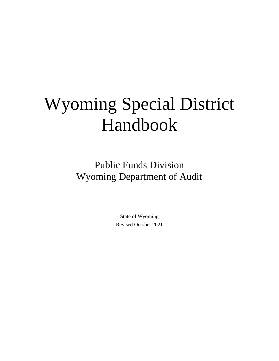# Wyoming Special District Handbook

Public Funds Division Wyoming Department of Audit

> State of Wyoming Revised October 2021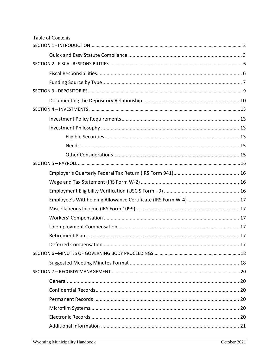| <b>Table of Contents</b> |  |
|--------------------------|--|
|                          |  |
|                          |  |
|                          |  |
|                          |  |
|                          |  |
|                          |  |
|                          |  |
|                          |  |
|                          |  |
|                          |  |
|                          |  |
|                          |  |
|                          |  |
|                          |  |
|                          |  |
|                          |  |
|                          |  |
|                          |  |
|                          |  |
|                          |  |
|                          |  |
|                          |  |
|                          |  |
|                          |  |
|                          |  |
|                          |  |
|                          |  |
|                          |  |
|                          |  |
|                          |  |
|                          |  |
|                          |  |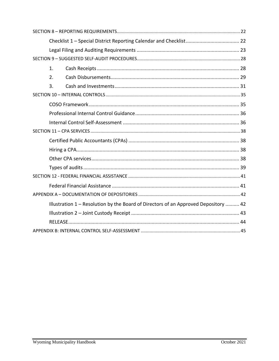| 1.                                                                                  |
|-------------------------------------------------------------------------------------|
| 2.                                                                                  |
| 3.                                                                                  |
|                                                                                     |
|                                                                                     |
|                                                                                     |
|                                                                                     |
|                                                                                     |
|                                                                                     |
|                                                                                     |
|                                                                                     |
|                                                                                     |
|                                                                                     |
|                                                                                     |
|                                                                                     |
| Illustration 1 - Resolution by the Board of Directors of an Approved Depository  42 |
|                                                                                     |
|                                                                                     |
|                                                                                     |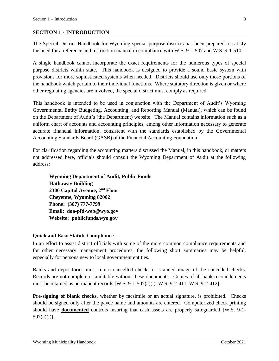## <span id="page-3-0"></span>**SECTION 1 - INTRODUCTION**

The Special District Handbook for Wyoming special purpose districts has been prepared to satisfy the need for a reference and instruction manual in compliance with W.S. 9-1-507 and W.S. 9-1-510.

A single handbook cannot incorporate the exact requirements for the numerous types of special purpose districts within state. This handbook is designed to provide a sound basic system with provisions for more sophisticated systems when needed. Districts should use only those portions of the handbook which pertain to their individual functions. Where statutory direction is given or where other regulating agencies are involved, the special district must comply as required.

This handbook is intended to be used in conjunction with the Department of Audit's Wyoming Governmental Entity Budgeting, Accounting, and Reporting Manual (Manual), which can be found on the Department of Audit's (the Department) website. The Manual contains information such as a uniform chart of accounts and accounting principles, among other information necessary to generate accurate financial information, consistent with the standards established by the Governmental Accounting Standards Board (GASB) of the Financial Accounting Foundation.

For clarification regarding the accounting matters discussed the Manual, in this handbook, or matters not addressed here, officials should consult the Wyoming Department of Audit at the following address:

**Wyoming Department of Audit, Public Funds Hathaway Building 2300 Capitol Avenue, 2 nd Floor Cheyenne, Wyoming 82002 Phone: (307) 777-7799 Email: doa-pfd-web@wyo.gov Website: publicfunds.wyo.gov**

## <span id="page-3-1"></span>**Quick and Easy Statute Compliance**

In an effort to assist district officials with some of the more common compliance requirements and for other necessary management procedures, the following short summaries may be helpful, especially for persons new to local government entities.

Banks and depositories must return cancelled checks or scanned image of the cancelled checks. Records are not complete or auditable without these documents. Copies of all bank reconcilements must be retained as permanent records [W.S. 9-1-507(a)(i), W.S. 9-2-411, W.S. 9-2-412].

**Pre-signing of blank checks**, whether by facsimile or an actual signature, is prohibited. Checks should be signed only after the payee name and amounts are entered. Computerized check printing should have **documented** controls insuring that cash assets are properly safeguarded [W.S. 9-1-  $507(a)(i)$ ].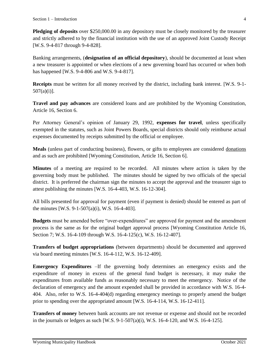**Pledging of deposits** over \$250,000.00 in any depository must be closely monitored by the treasurer and strictly adhered to by the financial institution with the use of an approved Joint Custody Receipt [W.S. 9-4-817 through 9-4-828].

Banking arrangements, (**designation of an official depository**), should be documented at least when a new treasurer is appointed or when elections of a new governing board has occurred or when both has happened [W.S. 9-4-806 and W.S. 9-4-817].

**Receipts** must be written for all money received by the district, including bank interest. [W.S. 9-1- 507(a)(i)].

**Travel and pay advances** are considered loans and are prohibited by the Wyoming Constitution, Article 16, Section 6.

Per Attorney General's opinion of January 29, 1992, **expenses for travel**, unless specifically exempted in the statutes, such as Joint Powers Boards, special districts should only reimburse actual expenses documented by receipts submitted by the official or employee.

**Meals** (unless part of conducting business), flowers, or gifts to employees are considered donations and as such are prohibited [Wyoming Constitution, Article 16, Section 6].

**Minutes** of a meeting are required to be recorded. All minutes where action is taken by the governing body must be published. The minutes should be signed by two officials of the special district. It is preferred the chairman sign the minutes to accept the approval and the treasurer sign to attest publishing the minutes [W.S. 16-4-403, W.S. 16-12-304].

All bills presented for approval for payment (even if payment is denied) should be entered as part of the minutes [W.S. 9-1-507(a)(i), W.S. 16-4-403].

**Budgets** must be amended before "over-expenditures" are approved for payment and the amendment process is the same as for the original budget approval process [Wyoming Constitution Article 16, Section 7; W.S. 16-4-109 through W.S. 16-4-125(c), W.S. 16-12-407].

**Transfers of budget appropriations** (between departments) should be documented and approved via board meeting minutes [W.S. 16-4-112, W.S. 16-12-409].

**Emergency Expenditures** –If the governing body determines an emergency exists and the expenditure of money in excess of the general fund budget is necessary, it may make the expenditures from available funds as reasonably necessary to meet the emergency. Notice of the declaration of emergency and the amount expended shall be provided in accordance with W.S. 16-4- 404. Also, refer to W.S. 16-4-404(d) regarding emergency meetings to properly amend the budget prior to spending over the appropriated amount [W.S. 16-4-114, W.S. 16-12-411].

**Transfers of money** between bank accounts are not revenue or expense and should not be recorded in the journals or ledgers as such [W.S.  $9-1-507(a)(i)$ , W.S. 16-4-120, and W.S. 16-4-125].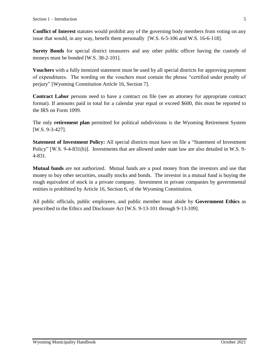**Conflict of Interest** statutes would prohibit any of the governing body members from voting on any issue that would, in any way, benefit them personally [W.S. 6-5-106 and W.S. 16-6-118].

**Surety Bonds** for special district treasurers and any other public officer having the custody of moneys must be bonded [W.S. 38-2-101].

**Vouchers** with a fully itemized statement must be used by all special districts for approving payment of expenditures. The wording on the vouchers must contain the phrase "certified under penalty of perjury" [Wyoming Constitution Article 16, Section 7].

**Contract Labor** persons need to have a contract on file (see an attorney for appropriate contract format). If amounts paid in total for a calendar year equal or exceed \$600, this must be reported to the IRS on Form 1099.

The only **retirement plan** permitted for political subdivisions is the Wyoming Retirement System [W.S. 9-3-427].

**Statement of Investment Policy:** All special districts must have on file a "Statement of Investment Policy" [W.S. 9-4-831(h)]. Investments that are allowed under state law are also detailed in W.S. 9- 4-831.

**Mutual funds** are not authorized. Mutual funds are a pool money from the investors and use that money to buy other securities, usually stocks and bonds. The investor in a mutual fund is buying the rough equivalent of stock in a private company. Investment in private companies by governmental entities is prohibited by Article 16, Section 6, of the Wyoming Constitution.

All public officials, public employees, and public member must abide by **Government Ethics** as prescribed in the Ethics and Disclosure Act [W.S. 9-13-101 through 9-13-109].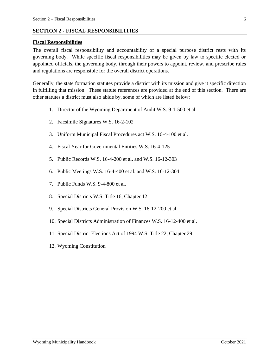#### <span id="page-6-0"></span>**SECTION 2 - FISCAL RESPONSIBILITIES**

#### <span id="page-6-1"></span>**Fiscal Responsibilities**

The overall fiscal responsibility and accountability of a special purpose district rests with its governing body. While specific fiscal responsibilities may be given by law to specific elected or appointed officials, the governing body, through their powers to appoint, review, and prescribe rules and regulations are responsible for the overall district operations.

Generally, the state formation statutes provide a district with its mission and give it specific direction in fulfilling that mission. These statute references are provided at the end of this section. There are other statutes a district must also abide by, some of which are listed below:

- 1. Director of the Wyoming Department of Audit W.S. 9-1-500 et al.
- 2. Facsimile Signatures W.S. 16-2-102
- 3. Uniform Municipal Fiscal Procedures act W.S. 16-4-100 et al.
- 4. Fiscal Year for Governmental Entities W.S. 16-4-125
- 5. Public Records W.S. 16-4-200 et al. and W.S. 16-12-303
- 6. Public Meetings W.S. 16-4-400 et al. and W.S. 16-12-304
- 7. Public Funds W.S. 9-4-800 et al.
- 8. Special Districts W.S. Title 16, Chapter 12
- 9. Special Districts General Provision W.S. 16-12-200 et al.
- 10. Special Districts Administration of Finances W.S. 16-12-400 et al.
- 11. Special District Elections Act of 1994 W.S. Title 22, Chapter 29
- 12. Wyoming Constitution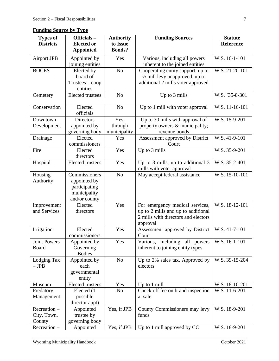## <span id="page-7-0"></span>**Funding Source by Type**

| <b>Types of</b><br><b>Districts</b>   | Officials-<br><b>Elected or</b><br><b>Appointed</b>                             | <b>Authority</b><br>to Issue<br><b>Bonds?</b> | <b>Funding Sources</b>                                                                                                   | <b>Statute</b><br>Reference |
|---------------------------------------|---------------------------------------------------------------------------------|-----------------------------------------------|--------------------------------------------------------------------------------------------------------------------------|-----------------------------|
| <b>Airport JPB</b>                    | Appointed by<br>oining entities                                                 | Yes                                           | Various, including all powers<br>inherent to the joined entities                                                         | W.S. 16-1-101               |
| <b>BOCES</b>                          | Elected by<br>board of<br>$Trustees - coop$<br>entities                         | N <sub>o</sub>                                | Cooperating entity support, up to<br>$\frac{1}{2}$ mill levy unapproved, up to<br>additional 2 mills voter approved      | W.S. 21-20-101              |
| Cemetery                              | Elected trustees                                                                | N <sub>o</sub>                                | Up to 3 mills                                                                                                            | W.S. `35-8-301              |
| Conservation                          | Elected<br>officials                                                            | N <sub>o</sub>                                | Up to 1 mill with voter approval                                                                                         | W.S. 11-16-101              |
| Downtown<br>Development               | <b>Directors</b><br>appointed by<br>governing body                              | Yes,<br>through<br>municipality               | Up to 30 mills with approval of<br>property owners & municipality;<br>revenue bonds                                      | W.S. 15-9-201               |
| Drainage                              | Elected<br>commissioners                                                        | Yes                                           | Assessment approved by District<br>Court                                                                                 | W.S. 41-9-101               |
| Fire                                  | Elected<br>directors                                                            | Yes                                           | Up to 3 mills                                                                                                            | W.S. 35-9-201               |
| Hospital                              | <b>Elected</b> trustees                                                         | Yes                                           | Up to 3 mills, up to additional 3<br>mills with voter approval                                                           | W.S. 35-2-401               |
| Housing<br>Authority                  | Commissioners<br>appointed by<br>participating<br>municipality<br>and/or county | N <sub>o</sub>                                | May accept federal assistance                                                                                            | W.S. 15-10-101              |
| Improvement<br>and Services           | Elected<br>directors                                                            | Yes                                           | For emergency medical services,<br>up to 2 mills and up to additional<br>2 mills with directors and electors<br>approval | W.S. 18-12-101              |
| Irrigation                            | Elected<br>commissioners                                                        | Yes                                           | Assessment approved by District<br>Court                                                                                 | W.S. 41-7-101               |
| <b>Joint Powers</b><br>Board          | Appointed by<br>Governing<br><b>Bodies</b>                                      | Yes                                           | Various, including all powers<br>inherent to joining entity types                                                        | W.S. 16-1-101               |
| Lodging Tax<br>$-IPB$                 | Appointed by<br>each<br>governmental<br>entity                                  | No                                            | Up to 2% sales tax. Approved by<br>electors                                                                              | W.S. 39-15-204              |
| Museum                                | Elected trustees                                                                | Yes                                           | Up to 1 mill                                                                                                             | W.S. 18-10-201              |
| Predatory<br>Management               | Elected (1)<br>possible<br>director appt)                                       | N <sub>0</sub>                                | Check off fee on brand inspection<br>at sale                                                                             | W.S. 11-6-201               |
| Recreation –<br>City, Town,<br>County | Appointed<br>trustee by<br>governing body                                       | Yes, if JPB                                   | County Commissioners may levy<br>funds                                                                                   | W.S. 18-9-201               |
| Recreation-                           | Appointed                                                                       | Yes, if JPB                                   | Up to 1 mill approved by CC                                                                                              | W.S. 18-9-201               |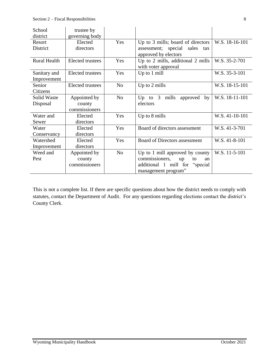| School<br>district          | trustee by<br>governing body            |                |                                                                                                                              |                |
|-----------------------------|-----------------------------------------|----------------|------------------------------------------------------------------------------------------------------------------------------|----------------|
| Resort<br>District          | Elected<br>directors                    | Yes            | Up to 3 mills; board of directors<br>assessment; special<br>sales tax<br>approved by electors                                | W.S. 18-16-101 |
| <b>Rural Health</b>         | <b>Elected</b> trustees                 | Yes            | Up to 2 mills, additional 2 mills<br>with voter approval                                                                     | W.S. 35-2-701  |
| Sanitary and<br>Improvement | <b>Elected</b> trustees                 | Yes            | Up to 1 mill                                                                                                                 | W.S. 35-3-101  |
| Senior<br>Citizens          | <b>Elected</b> trustees                 | N <sub>o</sub> | Up to 2 mills                                                                                                                | W.S. 18-15-101 |
| Solid Waste<br>Disposal     | Appointed by<br>county<br>commissioners | N <sub>0</sub> | Up to $3$<br>mills<br>approved<br>by<br>electors                                                                             | W.S. 18-11-101 |
| Water and<br>Sewer          | Elected<br>directors                    | Yes            | Up to 8 mills                                                                                                                | W.S. 41-10-101 |
| Water<br>Conservancy        | Elected<br>directors                    | Yes            | Board of directors assessment                                                                                                | W.S. 41-3-701  |
| Watershed<br>Improvement    | Elected<br>directors                    | Yes            | Board of Directors assessment                                                                                                | W.S. 41-8-101  |
| Weed and<br>Pest            | Appointed by<br>county<br>commissioners | N <sub>0</sub> | Up to 1 mill approved by county<br>commissioners,<br>up<br>to<br>an<br>additional 1 mill for "special<br>management program" | W.S. 11-5-101  |

This is not a complete list. If there are specific questions about how the district needs to comply with statutes, contact the Department of Audit. For any questions regarding elections contact the district's County Clerk.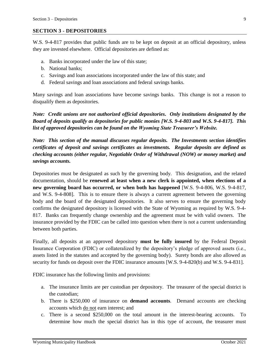## <span id="page-9-0"></span>**SECTION 3 - DEPOSITORIES**

W.S. 9-4-817 provides that public funds are to be kept on deposit at an official depository, unless they are invested elsewhere. Official depositories are defined as:

- a. Banks incorporated under the law of this state;
- b. National banks;
- c. Savings and loan associations incorporated under the law of this state; and
- d. Federal savings and loan associations and federal savings banks.

Many savings and loan associations have become savings banks. This change is not a reason to disqualify them as depositories.

*Note: Credit unions are not authorized official depositories. Only institutions designated by the Board of deposits qualify as depositories for public monies [W.S. 9-4-803 and W.S. 9-4-817]. This list of approved depositories can be found on the Wyoming State Treasurer's Website.*

*Note: This section of the manual discusses regular deposits. The Investments section identifies certificates of deposit and savings certificates as investments. Regular deposits are defined as checking accounts (either regular, Negotiable Order of Withdrawal (NOW) or money market) and savings accounts.*

Depositories must be designated as such by the governing body. This designation, and the related documentation, should be **renewed at least when a new clerk is appointed, when elections of a new governing board has occurred, or when both has happened** [W.S. 9-4-806, W.S. 9-4-817, and W.S. 9-4-808]. This is to ensure there is always a current agreement between the governing body and the board of the designated depositories. It also serves to ensure the governing body confirms the designated depository is licensed with the State of Wyoming as required by W.S. 9-4- 817. Banks can frequently change ownership and the agreement must be with valid owners. The insurance provided by the FDIC can be called into question when there is not a current understanding between both parties.

Finally, all deposits at an approved depository **must be fully insured** by the Federal Deposit Insurance Corporation (FDIC) or collateralized by the depository's pledge of approved assets (i.e., assets listed in the statutes and accepted by the governing body). Surety bonds are also allowed as security for funds on deposit over the FDIC insurance amounts [W.S. 9-4-820(b) and W.S. 9-4-831].

FDIC insurance has the following limits and provisions:

- a. The insurance limits are per custodian per depository. The treasurer of the special district is the custodian;
- b. There is \$250,000 of insurance on **demand accounts**. Demand accounts are checking accounts which do not earn interest; and
- c. There is a second \$250,000 on the total amount in the interest-bearing accounts. To determine how much the special district has in this type of account, the treasurer must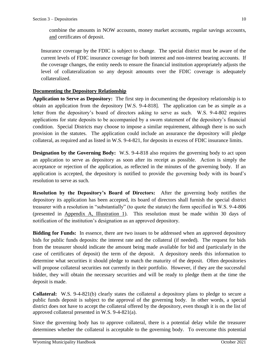combine the amounts in NOW accounts, money market accounts, regular savings accounts, and certificates of deposit.

Insurance coverage by the FDIC is subject to change. The special district must be aware of the current levels of FDIC insurance coverage for both interest and non-interest bearing accounts. If the coverage changes, the entity needs to ensure the financial institution appropriately adjusts the level of collateralization so any deposit amounts over the FDIC coverage is adequately collateralized.

#### <span id="page-10-0"></span>**Documenting the Depository Relationship**

**Application to Serve as Depository:** The first step in documenting the depository relationship is to obtain an application from the depository [W.S. 9-4-818]. The application can be as simple as a letter from the depository's board of directors asking to serve as such. W.S. 9-4-802 requires applications for state deposits to be accompanied by a sworn statement of the depository's financial condition. Special Districts may choose to impose a similar requirement, although there is no such provision in the statutes. The application could include an assurance the depository will pledge collateral, as required and as listed in W.S. 9-4-821, for deposits in excess of FDIC insurance limits.

**Designation by the Governing Body:** W.S. 9-4-818 also requires the governing body to act upon an application to serve as depository as soon after its receipt as possible. Action is simply the acceptance or rejection of the application, as reflected in the minutes of the governing body. If an application is accepted, the depository is notified to provide the governing body with its board's resolution to serve as such.

**Resolution by the Depository's Board of Directors:** After the governing body notifies the depository its application has been accepted, its board of directors shall furnish the special district treasurer with a resolution in "substantially" (to quote the statute) the form specified in W.S. 9-4-806 (presented in Appendix A, Illustration 1). This resolution must be made within 30 days of notification of the institution's designation as an approved depository.

**Bidding for Funds:** In essence, there are two issues to be addressed when an approved depository bids for public funds deposits: the interest rate and the collateral (if needed). The request for bids from the treasurer should indicate the amount being made available for bid and (particularly in the case of certificates of deposit) the term of the deposit. A depository needs this information to determine what securities it should pledge to match the maturity of the deposit. Often depositories will propose collateral securities not currently in their portfolio. However, if they are the successful bidder, they will obtain the necessary securities and will be ready to pledge them at the time the deposit is made.

**Collateral:** W.S. 9-4-821(b) clearly states the collateral a depository plans to pledge to secure a public funds deposit is subject to the approval of the governing body. In other words, a special district does not have to accept the collateral offered by the depository, even though it is on the list of approved collateral presented in W.S. 9-4-821(a).

Since the governing body has to approve collateral, there is a potential delay while the treasurer determines whether the collateral is acceptable to the governing body. To overcome this potential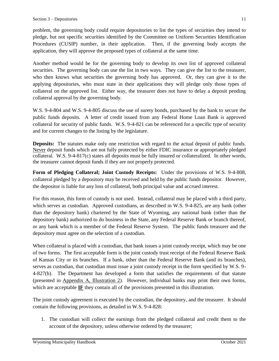problem, the governing body could require depositories to list the types of securities they intend to pledge, but not specific securities identified by the Committee on Uniform Securities Identification Procedures (CUSIP) number, in their application. Then, if the governing body accepts the application, they will approve the proposed types of collateral at the same time.

Another method would be for the governing body to develop its own list of approved collateral securities. The governing body can use the list in two ways. They can give the list to the treasurer, who then knows what securities the governing body has approved. Or, they can give it to the applying depositories, who must state in their applications they will pledge only those types of collateral on the approved list. Either way, the treasurer does not have to delay a deposit pending collateral approval by the governing body.

W.S. 9-4-804 and W.S. 9-4-805 discuss the use of surety bonds, purchased by the bank to secure the public funds deposits. A letter of credit issued from any Federal Home Loan Bank is approved collateral for security of public funds. W.S. 9-4-821 can be referenced for a specific type of security and for current changes to the listing by the legislature.

**Deposits:** The statutes make only one restriction with regard to the actual deposit of public funds. Never deposit funds which are not fully protected by either FDIC insurance or appropriately pledged collateral. W.S. 9-4-817(c) states all deposits must be fully insured or collateralized. In other words, the treasurer cannot deposit funds if they are not properly protected.

**Form of Pledging Collateral; Joint Custody Receipts:** Under the provisions of W.S. 9-4-808, collateral pledged by a depository may be received and held by the public funds depositor. However, the depositor is liable for any loss of collateral, both principal value and accrued interest.

For this reason, this form of custody is not used. Instead, collateral may be placed with a third party, which serves as custodian. Approved custodians, as described in W.S. 9-4-825, are any bank (other than the depository bank) chartered by the State of Wyoming, any national bank (other than the depository bank) authorized to do business in the State, any Federal Reserve Bank or branch thereof, or any bank which is a member of the Federal Reserve System. The public funds treasurer and the depository must agree on the selection of a custodian.

When collateral is placed with a custodian, that bank issues a joint custody receipt, which may be one of two forms. The first acceptable form is the joint custody trust receipt of the Federal Reserve Bank of Kansas City or its branches. If a bank, other than the Federal Reserve Bank (and its branches), serves as custodian, that custodian must issue a joint custody receipt in the form specified by W.S. 9- 4-827(b). The Department has developed a form that satisfies the requirements of that statute (presented in Appendix A, Illustration 2). However, individual banks may print their own forms, which are acceptable **IF** they contain all of the provisions presented in this illustration.

The joint custody agreement is executed by the custodian, the depository, and the treasurer. It should contain the following provisions, as detailed in W.S. 9-4-828:

1. The custodian will collect the earnings from the pledged collateral and credit them to the account of the depository, unless otherwise ordered by the treasurer;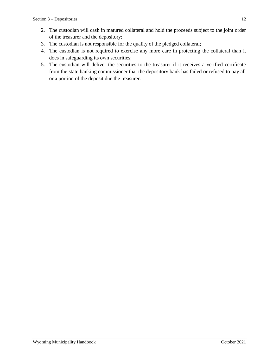- 3. The custodian is not responsible for the quality of the pledged collateral;
- 4. The custodian is not required to exercise any more care in protecting the collateral than it does in safeguarding its own securities;
- 5. The custodian will deliver the securities to the treasurer if it receives a verified certificate from the state banking commissioner that the depository bank has failed or refused to pay all or a portion of the deposit due the treasurer.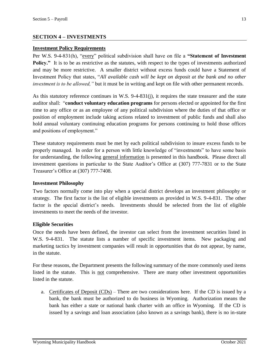## <span id="page-13-0"></span>**SECTION 4 – INVESTMENTS**

#### <span id="page-13-1"></span>**Investment Policy Requirements**

Per W.S. 9-4-831(h), "every" political subdivision shall have on file a **"Statement of Investment Policy."** It is to be as restrictive as the statutes, with respect to the types of investments authorized and may be more restrictive. A smaller district without excess funds could have a Statement of Investment Policy that states, "*All available cash will be kept on deposit at the bank and no other investment is to be allowed,"* but it must be in writing and kept on file with other permanent records.

As this statutory reference continues in W.S. 9-4-831(j), it requires the state treasurer and the state auditor shall: "**conduct voluntary education programs** for persons elected or appointed for the first time to any office or as an employee of any political subdivision where the duties of that office or position of employment include taking actions related to investment of public funds and shall also hold annual voluntary continuing education programs for persons continuing to hold those offices and positions of employment."

These statutory requirements must be met by each political subdivision to insure excess funds to be properly managed. In order for a person with little knowledge of "investments" to have some basis for understanding, the following general information is presented in this handbook. Please direct all investment questions in particular to the State Auditor's Office at (307) 777-7831 or to the State Treasurer's Office at (307) 777-7408.

#### <span id="page-13-2"></span>**Investment Philosophy**

Two factors normally come into play when a special district develops an investment philosophy or strategy. The first factor is the list of eligible investments as provided in W.S. 9-4-831. The other factor is the special district's needs. Investments should be selected from the list of eligible investments to meet the needs of the investor.

## <span id="page-13-3"></span>**Eligible Securities**

Once the needs have been defined, the investor can select from the investment securities listed in W.S. 9-4-831. The statute lists a number of specific investment items. New packaging and marketing tactics by investment companies will result in opportunities that do not appear, by name, in the statute.

For these reasons, the Department presents the following summary of the more commonly used items listed in the statute. This is <u>not</u> comprehensive. There are many other investment opportunities listed in the statute.

a. Certificates of Deposit (CDs) – There are two considerations here. If the CD is issued by a bank, the bank must be authorized to do business in Wyoming. Authorization means the bank has either a state or national bank charter with an office in Wyoming. If the CD is issued by a savings and loan association (also known as a savings bank), there is no in-state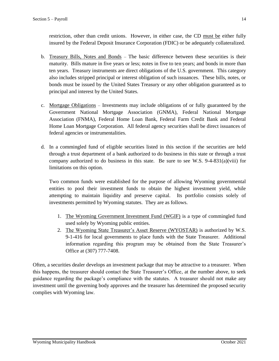restriction, other than credit unions. However, in either case, the CD must be either fully insured by the Federal Deposit Insurance Corporation (FDIC) or be adequately collateralized.

- b. Treasury Bills, Notes and Bonds The basic difference between these securities is their maturity. Bills mature in five years or less; notes in five to ten years; and bonds in more than ten years. Treasury instruments are direct obligations of the U.S. government. This category also includes stripped principal or interest obligation of such issuances. These bills, notes, or bonds must be issued by the United States Treasury or any other obligation guaranteed as to principal and interest by the United States.
- c. Mortgage Obligations Investments may include obligations of or fully guaranteed by the Government National Mortgage Association (GNMA), Federal National Mortgage Association (FNMA), Federal Home Loan Bank, Federal Farm Credit Bank and Federal Home Loan Mortgage Corporation. All federal agency securities shall be direct issuances of federal agencies or instrumentalities.
- d. In a commingled fund of eligible securities listed in this section if the securities are held through a trust department of a bank authorized to do business in this state or through a trust company authorized to do business in this state. Be sure to see W.S.  $9-4-831(a)(viii)$  for limitations on this option.

Two common funds were established for the purpose of allowing Wyoming governmental entities to pool their investment funds to obtain the highest investment yield, while attempting to maintain liquidity and preserve capital. Its portfolio consists solely of investments permitted by Wyoming statutes. They are as follows.

- 1. The Wyoming Government Investment Fund (WGIF) is a type of commingled fund used solely by Wyoming public entities.
- 2. The Wyoming State Treasurer's Asset Reserve (WYOSTAR) is authorized by W.S. 9-1-416 for local governments to place funds with the State Treasurer. Additional information regarding this program may be obtained from the State Treasurer's Office at (307) 777-7408.

Often, a securities dealer develops an investment package that may be attractive to a treasurer. When this happens, the treasurer should contact the State Treasurer's Office, at the number above, to seek guidance regarding the package's compliance with the statutes. A treasurer should not make any investment until the governing body approves and the treasurer has determined the proposed security complies with Wyoming law.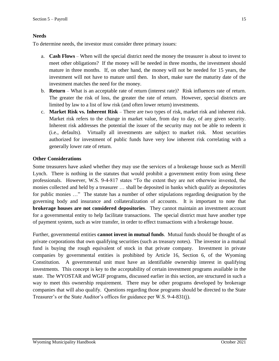## <span id="page-15-0"></span>**Needs**

To determine needs, the investor must consider three primary issues:

- a. **Cash Flows** When will the special district need the money the treasurer is about to invest to meet other obligations? If the money will be needed in three months, the investment should mature in three months. If, on other hand, the money will not be needed for 15 years, the investment will not have to mature until then. In short, make sure the maturity date of the investment matches the need for the money.
- b. **Return** What is an acceptable rate of return (interest rate)? Risk influences rate of return. The greater the risk of loss, the greater the rate of return. However, special districts are limited by law to a list of low risk (and often lower return) investments.
- c. **Market Risk vs. Inherent Risk** There are two types of risk, market risk and inherent risk. Market risk refers to the change in market value, from day to day, of any given security. Inherent risk addresses the potential the issuer of the security may not be able to redeem it (i.e., defaults). Virtually all investments are subject to market risk. Most securities authorized for investment of public funds have very low inherent risk correlating with a generally lower rate of return.

## <span id="page-15-1"></span>**Other Considerations**

Some treasurers have asked whether they may use the services of a brokerage house such as Merrill Lynch. There is nothing in the statutes that would prohibit a government entity from using these professionals. However, W.S. 9-4-817 states "To the extent they are not otherwise invested, the monies collected and held by a treasurer … shall be deposited in banks which qualify as depositories for public monies …" The statute has a number of other stipulations regarding designation by the governing body and insurance and collateralization of accounts. It is important to note that **brokerage houses are not considered depositories**. They cannot maintain an investment account for a governmental entity to help facilitate transactions. The special district must have another type of payment system, such as wire transfer, in order to effect transactions with a brokerage house.

Further, governmental entities **cannot invest in mutual funds**. Mutual funds should be thought of as private corporations that own qualifying securities (such as treasury notes). The investor in a mutual fund is buying the rough equivalent of stock in that private company. Investment in private companies by governmental entities is prohibited by Article 16, Section 6, of the Wyoming Constitution. A governmental unit must have an identifiable ownership interest in qualifying investments. This concept is key to the acceptability of certain investment programs available in the state. The WYOSTAR and WGIF programs, discussed earlier in this section, are structured in such a way to meet this ownership requirement. There may be other programs developed by brokerage companies that will also qualify. Questions regarding those programs should be directed to the State Treasurer's or the State Auditor's offices for guidance per W.S. 9-4-831(j).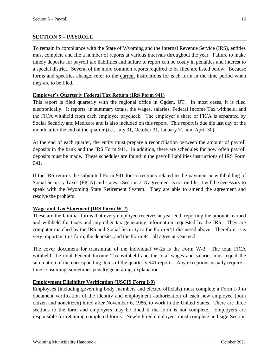## <span id="page-16-0"></span>**SECTION 5 – PAYROLL**

To remain in compliance with the State of Wyoming and the Internal Revenue Service (IRS), entities must complete and file a number of reports at various intervals throughout the year. Failure to make timely deposits for payroll tax liabilities and failure to report can be costly in penalties and interest to a special district. Several of the more common reports required to be filed are listed below. Because forms and specifics change, refer to the current instructions for each form in the time period when they are to be filed.

## <span id="page-16-1"></span>**Employer's Quarterly Federal Tax Return (IRS Form 941)**

This report is filed quarterly with the regional office in Ogden, UT. In most cases, it is filed electronically. It reports, in summary totals, the wages, salaries, Federal Income Tax withheld, and the FICA withheld from each employee paycheck. The employer's share of FICA is separated by Social Security and Medicare and is also included on this report. This report is due the last day of the month, after the end of the quarter (i.e., July 31, October 31, January 31, and April 30).

At the end of each quarter, the entity must prepare a reconciliation between the amount of payroll deposits in the bank and the IRS Form 941. In addition, there are schedules for how often payroll deposits must be made. These schedules are found in the payroll liabilities instructions of IRS Form 941.

If the IRS returns the submitted Form 941 for corrections related to the payment or withholding of Social Security Taxes (FICA) and states a Section 218 agreement is not on file, it will be necessary to speak with the Wyoming State Retirement System. They are able to amend the agreement and resolve the problem.

## <span id="page-16-2"></span>**Wage and Tax Statement (IRS Form W-2)**

These are the familiar forms that every employee receives at year end, reporting the amounts earned and withheld for taxes and any other tax generating information requested by the IRS. They are computer matched by the IRS and Social Security to the Form 941 discussed above. Therefore, it is very important this form, the deposits, and the Form 941 all agree at year-end.

The cover document for transmittal of the individual W-2s is the Form W-3. The total FICA withheld, the total Federal Income Tax withheld and the total wages and salaries must equal the summation of the corresponding items of the quarterly 941 reports. Any exceptions usually require a time consuming, sometimes penalty generating, explanation.

## <span id="page-16-3"></span>**Employment Eligibility Verification (USCIS Form I-9)**

Employees (including governing body members and elected officials) must complete a Form I-9 to document verification of the identity and employment authorization of each new employee (both citizen and noncitizen) hired after November 6, 1986, to work in the United States. There are three sections to the form and employers may be fined if the form is not complete. Employers are responsible for retaining completed forms. Newly hired employees must complete and sign Section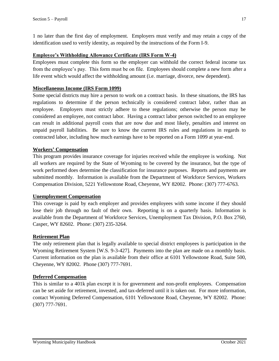1 no later than the first day of employment. Employers must verify and may retain a copy of the identification used to verify identity, as required by the instructions of the Form I-9.

## <span id="page-17-0"></span>**Employee's Withholding Allowance Certificate (IRS Form W-4)**

Employees must complete this form so the employer can withhold the correct federal income tax from the employee's pay. This form must be on file. Employees should complete a new form after a life event which would affect the withholding amount (i.e. marriage, divorce, new dependent).

## <span id="page-17-1"></span>**Miscellaneous Income (IRS Form 1099)**

Some special districts may hire a person to work on a contract basis. In these situations, the IRS has regulations to determine if the person technically is considered contract labor, rather than an employee. Employers must strictly adhere to these regulations; otherwise the person may be considered an employee, not contract labor. Having a contract labor person switched to an employee can result in additional payroll costs that are now due and most likely, penalties and interest on unpaid payroll liabilities. Be sure to know the current IRS rules and regulations in regards to contracted labor, including how much earnings have to be reported on a Form 1099 at year-end.

## <span id="page-17-2"></span>**Workers' Compensation**

This program provides insurance coverage for injuries received while the employee is working. Not all workers are required by the State of Wyoming to be covered by the insurance, but the type of work performed does determine the classification for insurance purposes. Reports and payments are submitted monthly. Information is available from the Department of Workforce Services, Workers Compensation Division, 5221 Yellowstone Road, Cheyenne, WY 82002. Phone: (307) 777-6763.

## <span id="page-17-3"></span>**Unemployment Compensation**

This coverage is paid by each employer and provides employees with some income if they should lose their job through no fault of their own. Reporting is on a quarterly basis. Information is available from the Department of Workforce Services, Unemployment Tax Division, P.O. Box 2760, Casper, WY 82602. Phone: (307) 235-3264.

## <span id="page-17-4"></span>**Retirement Plan**

The only retirement plan that is legally available to special district employees is participation in the Wyoming Retirement System [W.S. 9-3-427]. Payments into the plan are made on a monthly basis. Current information on the plan is available from their office at 6101 Yellowstone Road, Suite 500, Cheyenne, WY 82002. Phone (307) 777-7691.

## <span id="page-17-5"></span>**Deferred Compensation**

This is similar to a 401k plan except it is for government and non-profit employees. Compensation can be set aside for retirement, invested, and tax-deferred until it is taken out. For more information, contact Wyoming Deferred Compensation, 6101 Yellowstone Road, Cheyenne, WY 82002. Phone: (307) 777-7691.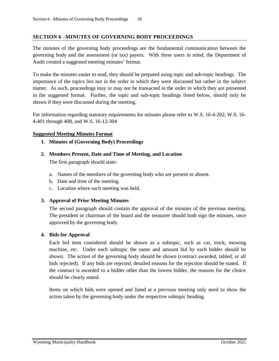#### <span id="page-18-0"></span>**SECTION 6 –MINUTES OF GOVERNING BODY PROCEEDINGS**

The minutes of the governing body proceedings are the fundamental communication between the governing body and the assessment (or tax) payers. With these users in mind, the Department of Audit created a suggested meeting minutes' format.

To make the minutes easier to read, they should be prepared using topic and sub-topic headings. The importance of the topics lies not in the order in which they were discussed but rather in the subject matter. As such, proceedings may or may not be transacted in the order in which they are presented in the suggested format. Further, the topic and sub-topic headings listed below, should only be shown if they were discussed during the meeting.

For information regarding statutory requirements for minutes please refer to W.S. 16-4-202, W.S. 16-4-401 through 408, and W.S. 16-12-304

#### <span id="page-18-1"></span>**Suggested Meeting Minutes Format**

**1. Minutes of (Governing Body) Proceedings**

#### **2. Members Present, Date and Time of Meeting, and Location**

The first paragraph should state:

- a. Names of the members of the governing body who are present or absent.
- b. Date and time of the meeting.
- c. Location where such meeting was held.

#### **3. Approval of Prior Meeting Minutes**

The second paragraph should contain the approval of the minutes of the previous meeting. The president or chairman of the board and the treasurer should both sign the minutes, once approved by the governing body.

#### **4. Bids for Approval**

Each bid item considered should be shown as a subtopic, such as car, truck, mowing machine, etc. Under each subtopic the name and amount bid by each bidder should be shown. The action of the governing body should be shown (contract awarded, tabled, or all bids rejected). If any bids are rejected, detailed reasons for the rejection should be stated. If the contract is awarded to a bidder other than the lowest bidder, the reasons for the choice should be clearly stated.

Items on which bids were opened and listed at a previous meeting only need to show the action taken by the governing body under the respective subtopic heading.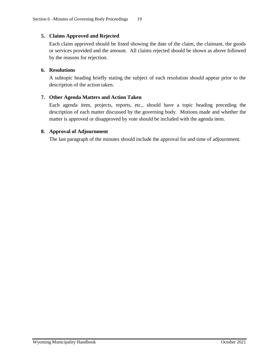## **5. Claims Approved and Rejected**

Each claim approved should be listed showing the date of the claim, the claimant, the goods or services provided and the amount. All claims rejected should be shown as above followed by the reasons for rejection.

## **6. Resolutions**

A subtopic heading briefly stating the subject of each resolution should appear prior to the description of the action taken.

## **7. Other Agenda Matters and Action Taken**

Each agenda item, projects, reports, etc., should have a topic heading preceding the description of each matter discussed by the governing body. Motions made and whether the matter is approved or disapproved by vote should be included with the agenda item.

## **8. Approval of Adjournment**

The last paragraph of the minutes should include the approval for and time of adjournment.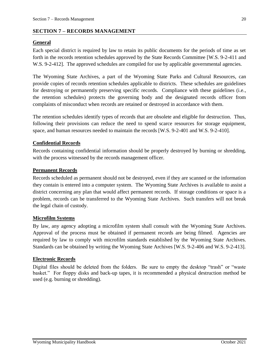## <span id="page-20-0"></span>**SECTION 7 – RECORDS MANAGEMENT**

## <span id="page-20-1"></span>**General**

Each special district is required by law to retain its public documents for the periods of time as set forth in the records retention schedules approved by the State Records Committee [W.S. 9-2-411 and W.S. 9-2-412]. The approved schedules are compiled for use by applicable governmental agencies.

The Wyoming State Archives, a part of the Wyoming State Parks and Cultural Resources, can provide copies of records retention schedules applicable to districts. These schedules are guidelines for destroying or permanently preserving specific records. Compliance with these guidelines (i.e., the retention schedules) protects the governing body and the designated records officer from complaints of misconduct when records are retained or destroyed in accordance with them.

The retention schedules identify types of records that are obsolete and eligible for destruction. Thus, following their provisions can reduce the need to spend scarce resources for storage equipment, space, and human resources needed to maintain the records [W.S. 9-2-401 and W.S. 9-2-410].

## <span id="page-20-2"></span>**Confidential Records**

Records containing confidential information should be properly destroyed by burning or shredding, with the process witnessed by the records management officer.

## <span id="page-20-3"></span>**Permanent Records**

Records scheduled as permanent should not be destroyed, even if they are scanned or the information they contain is entered into a computer system. The Wyoming State Archives is available to assist a district concerning any plan that would affect permanent records. If storage conditions or space is a problem, records can be transferred to the Wyoming State Archives. Such transfers will not break the legal chain of custody.

## <span id="page-20-4"></span>**Microfilm Systems**

By law, any agency adopting a microfilm system shall consult with the Wyoming State Archives. Approval of the process must be obtained if permanent records are being filmed. Agencies are required by law to comply with microfilm standards established by the Wyoming State Archives. Standards can be obtained by writing the Wyoming State Archives [W.S. 9-2-406 and W.S. 9-2-413].

## <span id="page-20-5"></span>**Electronic Records**

Digital files should be deleted from the folders. Be sure to empty the desktop "trash" or "waste basket." For floppy disks and back-up tapes, it is recommended a physical destruction method be used (e.g. burning or shredding).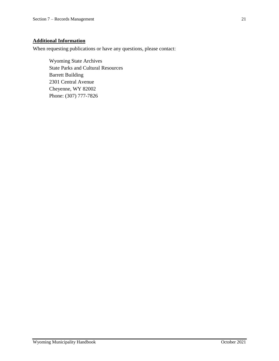## <span id="page-21-0"></span>**Additional Information**

When requesting publications or have any questions, please contact:

Wyoming State Archives State Parks and Cultural Resources Barrett Building 2301 Central Avenue Cheyenne, WY 82002 Phone: (307) 777-7826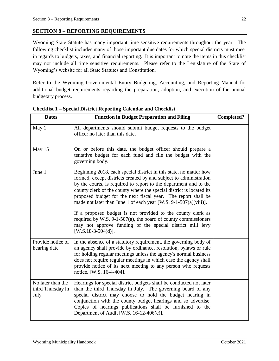## <span id="page-22-0"></span>**SECTION 8 – REPORTING REQUIREMENTS**

Wyoming State Statute has many important time sensitive requirements throughout the year. The following checklist includes many of those important due dates for which special districts must meet in regards to budgets, taxes, and financial reporting. It is important to note the items in this checklist may not include all time sensitive requirements. Please refer to the Legislature of the State of Wyoming's website for all State Statutes and Constitution.

Refer to the Wyoming Governmental Entity Budgeting, Accounting, and Reporting Manual for additional budget requirements regarding the preparation, adoption, and execution of the annual budgetary process.

| <b>Dates</b>                                   | <b>Function in Budget Preparation and Filing</b>                                                                                                                                                                                                                                                                                                                                                                             | Completed? |
|------------------------------------------------|------------------------------------------------------------------------------------------------------------------------------------------------------------------------------------------------------------------------------------------------------------------------------------------------------------------------------------------------------------------------------------------------------------------------------|------------|
| May 1                                          | All departments should submit budget requests to the budget<br>officer no later than this date.                                                                                                                                                                                                                                                                                                                              |            |
| May 15                                         | On or before this date, the budget officer should prepare a<br>tentative budget for each fund and file the budget with the<br>governing body.                                                                                                                                                                                                                                                                                |            |
| June 1                                         | Beginning 2018, each special district in this state, no matter how<br>formed, except districts created by and subject to administration<br>by the courts, is required to report to the department and to the<br>county clerk of the county where the special district is located its<br>proposed budget for the next fiscal year. The report shall be<br>made not later than June 1 of each year [W.S. $9-1-507(a)(viii)$ ]. |            |
|                                                | If a proposed budget is not provided to the county clerk as<br>required by W.S. $9-1-507(a)$ , the board of county commissioners<br>may not approve funding of the special district mill levy<br>[W.S.18-3-504(d)].                                                                                                                                                                                                          |            |
| Provide notice of<br>hearing date              | In the absence of a statutory requirement, the governing body of<br>an agency shall provide by ordinance, resolution, bylaws or rule<br>for holding regular meetings unless the agency's normal business<br>does not require regular meetings in which case the agency shall<br>provide notice of its next meeting to any person who requests<br>notice. [W.S. 16-4-404].                                                    |            |
| No later than the<br>third Thursday in<br>July | Hearings for special district budgets shall be conducted not later<br>than the third Thursday in July. The governing board of any<br>special district may choose to hold the budget hearing in<br>conjunction with the county budget hearings and so advertise.<br>Copies of hearings publications shall be furnished to the<br>Department of Audit [W.S. $16-12-406(c)$ ].                                                  |            |

<span id="page-22-1"></span>**Checklist 1 – Special District Reporting Calendar and Checklist**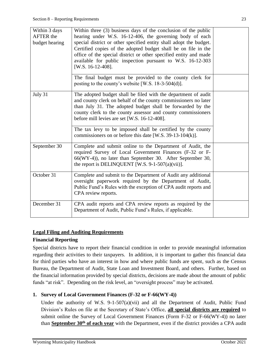| Within 3 days<br><b>AFTER</b> the<br>budget hearing | Within three $(3)$ business days of the conclusion of the public<br>hearing under W.S. 16-12-406, the governing body of each<br>special district or other specified entity shall adopt the budget.<br>Certified copies of the adopted budget shall be on file in the<br>office of the special district or other specified entity and made<br>available for public inspection pursuant to W.S. 16-12-303<br>[W.S. 16-12-408]. |  |
|-----------------------------------------------------|------------------------------------------------------------------------------------------------------------------------------------------------------------------------------------------------------------------------------------------------------------------------------------------------------------------------------------------------------------------------------------------------------------------------------|--|
|                                                     | The final budget must be provided to the county clerk for<br>posting to the county's website [W.S. 18-3-504(d)].                                                                                                                                                                                                                                                                                                             |  |
| July 31                                             | The adopted budget shall be filed with the department of audit<br>and county clerk on behalf of the county commissioners no later<br>than July 31. The adopted budget shall be forwarded by the<br>county clerk to the county assessor and county commissioners<br>before mill levies are set [W.S. 16-12-408].                                                                                                              |  |
|                                                     | The tax levy to be imposed shall be certified by the county<br>commissioners on or before this date [W.S. $39-13-104(k)$ ].                                                                                                                                                                                                                                                                                                  |  |
| September 30                                        | Complete and submit online to the Department of Audit, the<br>required Survey of Local Government Finances (F-32 or F-<br>66(WY-4)), no later than September 30. After September 30,<br>the report is DELINQUENT [W.S. $9-1-507(a)(vii)$ ].                                                                                                                                                                                  |  |
| October 31                                          | Complete and submit to the Department of Audit any additional<br>oversight paperwork required by the Department of Audit,<br>Public Fund's Rules with the exception of CPA audit reports and<br>CPA review reports.                                                                                                                                                                                                          |  |
| December 31                                         | CPA audit reports and CPA review reports as required by the<br>Department of Audit, Public Fund's Rules, if applicable.                                                                                                                                                                                                                                                                                                      |  |

## <span id="page-23-0"></span>**Legal Filing and Auditing Requirements**

## **Financial Reporting**

Special districts have to report their financial condition in order to provide meaningful information regarding their activities to their taxpayers. In addition, it is important to gather this financial data for third parties who have an interest in how and where public funds are spent, such as the Census Bureau, the Department of Audit, State Loan and Investment Board, and others. Further, based on the financial information provided by special districts, decisions are made about the amount of public funds "at risk". Depending on the risk level, an "oversight process" may be activated.

## **1. Survey of Local Government Finances (F-32 or F-66(WY-4))**

Under the authority of W.S. 9-1-507(a)(vii) and all the Department of Audit, Public Fund Division's Rules on file at the Secretary of State's Office, **all special districts are required** to submit online the Survey of Local Government Finances (Form F-32 or F-66(WY-4)) no later than **September 30th of each year** with the Department, even if the district provides a CPA audit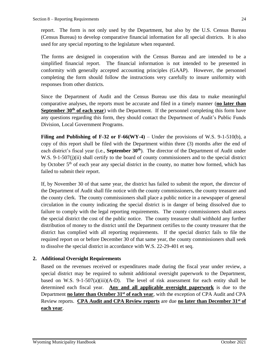report. The form is not only used by the Department, but also by the U.S. Census Bureau (Census Bureau) to develop comparative financial information for all special districts. It is also used for any special reporting to the legislature when requested.

The forms are designed in cooperation with the Census Bureau and are intended to be a simplified financial report. The financial information is not intended to be presented in conformity with generally accepted accounting principles (GAAP). However, the personnel completing the form should follow the instructions very carefully to insure uniformity with responses from other districts.

Since the Department of Audit and the Census Bureau use this data to make meaningful comparative analyses, the reports must be accurate and filed in a timely manner (**no later than September 30<sup>th</sup> of each year**) with the Department. If the personnel completing this form have any questions regarding this form, they should contact the Department of Audit's Public Funds Division, Local Government Programs.

**Filing and Publishing of F-32 or F-66(WY-4)** – Under the provisions of W.S. 9-1-510(b), a copy of this report shall be filed with the Department within three (3) months after the end of each district's fiscal year (i.e., **September 30th**). The director of the Department of Audit under W.S. 9-1-507(j)(ii) shall certify to the board of county commissioners and to the special district by October 5<sup>th</sup> of each year any special district in the county, no matter how formed, which has failed to submit their report.

If, by November 30 of that same year, the district has failed to submit the report, the director of the Department of Audit shall file notice with the county commissioners, the county treasurer and the county clerk. The county commissioners shall place a public notice in a newspaper of general circulation in the county indicating the special district is in danger of being dissolved due to failure to comply with the legal reporting requirements. The county commissioners shall assess the special district the cost of the public notice. The county treasurer shall withhold any further distribution of money to the district until the Department certifies to the county treasurer that the district has complied with all reporting requirements. If the special district fails to file the required report on or before December 30 of that same year, the county commissioners shall seek to dissolve the special district in accordance with W.S. 22-29-401 et seq.

## **2. Additional Oversight Requirements**

Based on the revenues received or expenditures made during the fiscal year under review, a special district may be required to submit additional oversight paperwork to the Department, based on W.S.  $9-1-507(a)(iii)(A-D)$ . The level of risk assessment for each entity shall be determined each fiscal year. **Any and all applicable oversight paperwork** is due to the Department **no later than October 31st of each year**, with the exception of CPA Audit and CPA Review reports. **CPA Audit and CPA Review reports** are due **no later than December 31st of each year**.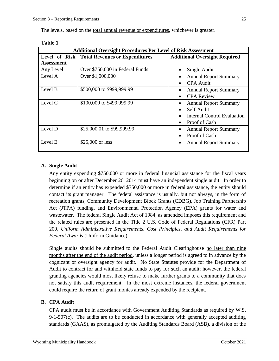The levels, based on the total annual revenue or expenditures, whichever is greater.

| <b>Additional Oversight Procedures Per Level of Risk Assessment</b> |                                       |                                                                                                                      |  |  |  |  |
|---------------------------------------------------------------------|---------------------------------------|----------------------------------------------------------------------------------------------------------------------|--|--|--|--|
| Level of Risk<br><b>Assessment</b>                                  | <b>Total Revenues or Expenditures</b> | <b>Additional Oversight Required</b>                                                                                 |  |  |  |  |
| Any Level                                                           | Over \$750,000 in Federal Funds       | Single Audit<br>$\bullet$                                                                                            |  |  |  |  |
| Level A                                                             | Over \$1,000,000                      | <b>Annual Report Summary</b><br>$\bullet$<br><b>CPA</b> Audit<br>$\bullet$                                           |  |  |  |  |
| Level B                                                             | \$500,000 to \$999,999.99             | <b>Annual Report Summary</b><br>$\bullet$<br><b>CPA</b> Review                                                       |  |  |  |  |
| Level C                                                             | \$100,000 to \$499,999.99             | <b>Annual Report Summary</b><br>$\bullet$<br>Self-Audit<br>Internal Control Evaluation<br>Proof of Cash<br>$\bullet$ |  |  |  |  |
| Level D                                                             | \$25,000.01 to \$99,999.99            | <b>Annual Report Summary</b><br>Proof of Cash<br>$\bullet$                                                           |  |  |  |  |
| Level E                                                             | \$25,000 or less                      | <b>Annual Report Summary</b><br>٠                                                                                    |  |  |  |  |

| anı<br>16 |
|-----------|
|-----------|

## **A. Single Audit**

Any entity expending \$750,000 or more in federal financial assistance for the fiscal years beginning on or after December 26, 2014 must have an independent single audit. In order to determine if an entity has expended \$750,000 or more in federal assistance, the entity should contact its grant manager. The federal assistance is usually, but not always, in the form of recreation grants, Community Development Block Grants (CDBG), Job Training Partnership Act (JTPA) funding, and Environmental Protection Agency (EPA) grants for water and wastewater. The federal Single Audit Act of 1984, as amended imposes this requirement and the related rules are presented in the Title 2 U.S. Code of Federal Regulations (CFR) Part 200, *Uniform Administrative Requirements, Cost Principles, and Audit Requirements for Federal Awards* (Uniform Guidance).

Single audits should be submitted to the Federal Audit Clearinghouse no later than nine months after the end of the audit period, unless a longer period is agreed to in advance by the cognizant or oversight agency for audit. No State Statutes provide for the Department of Audit to contract for and withhold state funds to pay for such an audit; however, the federal granting agencies would most likely refuse to make further grants to a community that does not satisfy this audit requirement. In the most extreme instances, the federal government could require the return of grant monies already expended by the recipient.

## **B. CPA Audit**

CPA audit must be in accordance with Government Auditing Standards as required by W.S.  $9-1-507(c)$ . The audits are to be conducted in accordance with generally accepted auditing standards (GAAS), as promulgated by the Auditing Standards Board (ASB), a division of the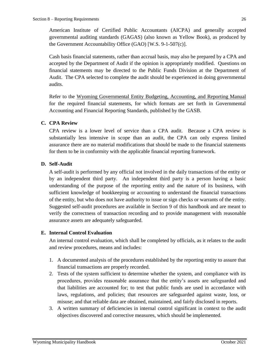American Institute of Certified Public Accountants (AICPA) and generally accepted governmental auditing standards (GAGAS) (also known as Yellow Book), as produced by the Government Accountability Office (GAO) [W.S. 9-1-507(c)].

Cash basis financial statements, rather than accrual basis, may also be prepared by a CPA and accepted by the Department of Audit if the opinion is appropriately modified. Questions on financial statements may be directed to the Public Funds Division at the Department of Audit. The CPA selected to complete the audit should be experienced in doing governmental audits.

Refer to the Wyoming Governmental Entity Budgeting, Accounting, and Reporting Manual for the required financial statements, for which formats are set forth in Governmental Accounting and Financial Reporting Standards, published by the GASB.

## **C. CPA Review**

CPA review is a lower level of service than a CPA audit. Because a CPA review is substantially less intensive in scope than an audit, the CPA can only express limited assurance there are no material modifications that should be made to the financial statements for them to be in conformity with the applicable financial reporting framework.

## **D. Self-Audit**

A self-audit is performed by any official not involved in the daily transactions of the entity or by an independent third party. An independent third party is a person having a basic understanding of the purpose of the reporting entity and the nature of its business, with sufficient knowledge of bookkeeping or accounting to understand the financial transactions of the entity, but who does not have authority to issue or sign checks or warrants of the entity. Suggested self-audit procedures are available in Section 9 of this handbook and are meant to verify the correctness of transaction recording and to provide management with reasonable assurance assets are adequately safeguarded.

## **E. Internal Control Evaluation**

An internal control evaluation, which shall be completed by officials, as it relates to the audit and review procedures, means and includes:

- 1. A documented analysis of the procedures established by the reporting entity to assure that financial transactions are properly recorded.
- 2. Tests of the system sufficient to determine whether the system, and compliance with its procedures, provides reasonable assurance that the entity's assets are safeguarded and that liabilities are accounted for; to test that public funds are used in accordance with laws, regulations, and policies; that resources are safeguarded against waste, loss, or misuse; and that reliable data are obtained, maintained, and fairly disclosed in reports.
- 3. A written summary of deficiencies in internal control significant in context to the audit objectives discovered and corrective measures, which should be implemented.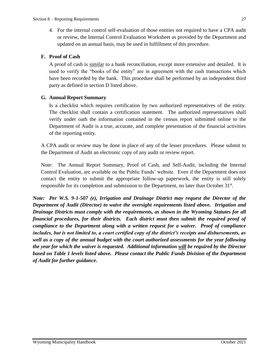4. For the internal control self-evaluation of those entities not required to have a CPA audit or review, the Internal Control Evaluation Worksheet as provided by the Department and updated on an annual basis, may be used in fulfillment of this procedure.

## **F. Proof of Cash**

A proof of cash is similar to a bank reconciliation, except more extensive and detailed. It is used to verify the "books of the entity" are in agreement with the cash transactions which have been recorded by the bank. This procedure shall be performed by an independent third party as defined in section D listed above.

## **G. Annual Report Summary**

Is a checklist which requires certification by two authorized representatives of the entity. The checklist shall contain a certification statement. The authorized representatives shall verify under oath the information contained in the census report submitted online to the Department of Audit is a true, accurate, and complete presentation of the financial activities of the reporting entity.

A CPA audit or review may be done in place of any of the lesser procedures. Please submit to the Department of Audit an electronic copy of any audit or review report.

Note: The Annual Report Summary, Proof of Cash, and Self-Audit, including the Internal Control Evaluation, are available on the Public Funds' website. Even if the Department does not contact the entity to submit the appropriate follow-up paperwork, the entity is still solely responsible for its completion and submission to the Department, no later than October 31<sup>st</sup>.

*Note: Per W.S. 9-1-507 (e), Irrigation and Drainage District may request the Director of the Department of Audit (Director) to waive the oversight requirements listed above. Irrigation and Drainage Districts must comply with the requirements, as shown in the Wyoming Statutes for all financial procedures, for their districts. Each district must then submit the required proof of compliance to the Department along with a written request for a waiver. Proof of compliance includes, but is not limited to, a court certified copy of the district's receipts and disbursements, as well as a copy of the annual budget with the court authorized assessments for the year following the year for which the waiver is requested. Additional information will be required by the Director based on Table 1 levels listed above. Please contact the Public Funds Division of the Department of Audit for further guidance.*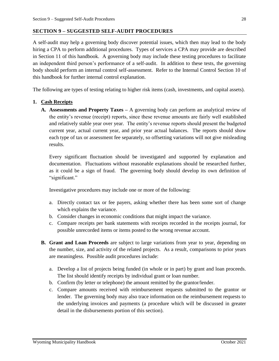## <span id="page-28-0"></span>**SECTION 9 – SUGGESTED SELF-AUDIT PROCEDURES**

A self-audit may help a governing body discover potential issues, which then may lead to the body hiring a CPA to perform additional procedures. Types of services a CPA may provide are described in Section 11 of this handbook. A governing body may include these testing procedures to facilitate an independent third person's performance of a self-audit. In addition to these tests, the governing body should perform an internal control self-assessment. Refer to the Internal Control Section 10 of this handbook for further internal control explanation.

The following are types of testing relating to higher risk items (cash, investments, and capital assets).

## <span id="page-28-1"></span>**1. Cash Receipts**

**A. Assessments and Property Taxes –** A governing body can perform an analytical review of the entity's revenue (receipt) reports, since these revenue amounts are fairly well established and relatively stable year over year. The entity's revenue reports should present the budgeted current year, actual current year, and prior year actual balances. The reports should show each type of tax or assessment fee separately, so offsetting variations will not give misleading results.

Every significant fluctuation should be investigated and supported by explanation and documentation. Fluctuations without reasonable explanations should be researched further, as it could be a sign of fraud. The governing body should develop its own definition of "significant."

Investigative procedures may include one or more of the following:

- a. Directly contact tax or fee payers, asking whether there has been some sort of change which explains the variance.
- b. Consider changes in economic conditions that might impact the variance.
- c. Compare receipts per bank statements with receipts recorded in the receipts journal, for possible unrecorded items or items posted to the wrong revenue account.
- **B. Grant and Loan Proceeds** are subject to large variations from year to year, depending on the number, size, and activity of the related projects. As a result, comparisons to prior years are meaningless. Possible audit procedures include:
	- a. Develop a list of projects being funded (in whole or in part) by grant and loan proceeds. The list should identify receipts by individual grant or loan number.
	- b. Confirm (by letter or telephone) the amount remitted by the grantor/lender.
	- c. Compare amounts received with reimbursement requests submitted to the grantor or lender. The governing body may also trace information on the reimbursement requests to the underlying invoices and payments (a procedure which will be discussed in greater detail in the disbursements portion of this section).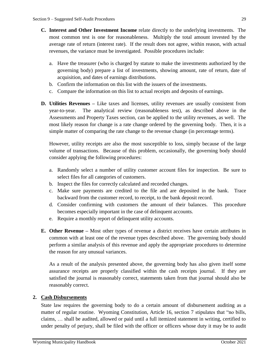- **C. Interest and Other Investment Income** relate directly to the underlying investments. The most common test is one for reasonableness. Multiply the total amount invested by the average rate of return (interest rate). If the result does not agree, within reason, with actual revenues, the variance must be investigated. Possible procedures include:
	- a. Have the treasurer (who is charged by statute to make the investments authorized by the governing body) prepare a list of investments, showing amount, rate of return, date of acquisition, and dates of earnings distributions.
	- b. Confirm the information on this list with the issuers of the investments.
	- c. Compare the information on this list to actual receipts and deposits of earnings.
- **D. Utilities Revenues –** Like taxes and licenses, utility revenues are usually consistent from year-to-year. The analytical review (reasonableness test), as described above in the Assessments and Property Taxes section, can be applied to the utility revenues, as well. The most likely reason for change is a rate change ordered by the governing body. Then, it is a simple matter of comparing the rate change to the revenue change (in percentage terms).

However, utility receipts are also the most susceptible to loss, simply because of the large volume of transactions. Because of this problem, occasionally, the governing body should consider applying the following procedures:

- a. Randomly select a number of utility customer account files for inspection. Be sure to select files for all categories of customers.
- b. Inspect the files for correctly calculated and recorded changes.
- c. Make sure payments are credited to the file and are deposited in the bank. Trace backward from the customer record, to receipt, to the bank deposit record.
- d. Consider confirming with customers the amount of their balances. This procedure becomes especially important in the case of delinquent accounts.
- e. Require a monthly report of delinquent utility accounts.
- **E. Other Revenue –** Most other types of revenue a district receives have certain attributes in common with at least one of the revenue types described above. The governing body should perform a similar analysis of this revenue and apply the appropriate procedures to determine the reason for any unusual variances.

As a result of the analysis presented above, the governing body has also given itself some assurance receipts are properly classified within the cash receipts journal. If they are satisfied the journal is reasonably correct, statements taken from that journal should also be reasonably correct.

## <span id="page-29-0"></span>**2. Cash Disbursements**

State law requires the governing body to do a certain amount of disbursement auditing as a matter of regular routine. Wyoming Constitution, Article 16, section 7 stipulates that "no bills, claims, … shall be audited, allowed or paid until a full itemized statement in writing, certified to under penalty of perjury, shall be filed with the officer or officers whose duty it may be to audit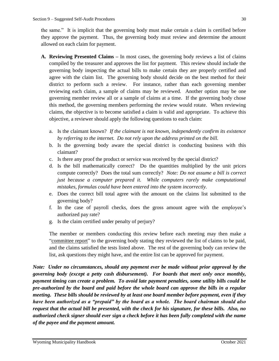the same." It is implicit that the governing body must make certain a claim is certified before they approve the payment. Thus, the governing body must review and determine the amount allowed on each claim for payment.

- **A. Reviewing Presented Claims –** In most cases, the governing body reviews a list of claims compiled by the treasurer and approves the list for payment. This review should include the governing body inspecting the actual bills to make certain they are properly certified and agree with the claim list. The governing body should decide on the best method for their district to perform such a review. For instance, rather than each governing member reviewing each claim, a sample of claims may be reviewed. Another option may be one governing member review all or a sample of claims at a time. If the governing body chose this method, the governing members performing the review would rotate. When reviewing claims, the objective is to become satisfied a claim is valid and appropriate. To achieve this objective, a reviewer should apply the following questions to each claim:
	- a. Is the claimant known? *If the claimant is not known, independently confirm its existence by referring to the internet. Do not rely upon the address printed on the bill.*
	- b. Is the governing body aware the special district is conducting business with this claimant?
	- c. Is there any proof the product or service was received by the special district?
	- d. Is the bill mathematically correct? Do the quantities multiplied by the unit prices compute correctly? Does the total sum correctly? *Note: Do not assume a bill is correct just because a computer prepared it. While computers rarely make computational mistakes, formulas could have been entered into the system incorrectly.*
	- e. Does the correct bill total agree with the amount on the claims list submitted to the governing body?
	- f. In the case of payroll checks, does the gross amount agree with the employee's authorized pay rate?
	- g. Is the claim certified under penalty of perjury?

The member or members conducting this review before each meeting may then make a "committee report" to the governing body stating they reviewed the list of claims to be paid, and the claims satisfied the tests listed above. The rest of the governing body can review the list, ask questions they might have, and the entire list can be approved for payment.

*Note: Under no circumstances, should any payment ever be made without prior approval by the governing body (except a petty cash disbursement). For boards that meet only once monthly, payment timing can create a problem. To avoid late payment penalties, some utility bills could be pre-authorized by the board and paid before the whole board can approve the bills in a regular meeting. These bills should be reviewed by at least one board member before payment, even if they have been authorized as a "prepaid" by the board as a whole. The board chairman should also request that the actual bill be presented, with the check for his signature, for these bills. Also, no authorized check signer should ever sign a check before it has been fully completed with the name of the payee and the payment amount.*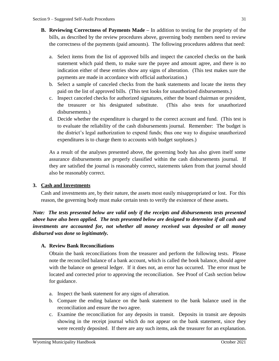- **B. Reviewing Correctness of Payments Made –** In addition to testing for the propriety of the bills, as described by the review procedures above, governing body members need to review the correctness of the payments (paid amounts). The following procedures address that need:
	- a. Select items from the list of approved bills and inspect the canceled checks on the bank statement which paid them, to make sure the payee and amount agree, and there is no indication either of these entries show any signs of alteration. (This test makes sure the payments are made in accordance with official authorization.)
	- b. Select a sample of canceled checks from the bank statements and locate the items they paid on the list of approved bills. (This test looks for unauthorized disbursements.)
	- c. Inspect canceled checks for authorized signatures, either the board chairman or president, the treasurer or his designated substitute. (This also tests for unauthorized disbursements.)
	- d. Decide whether the expenditure is charged to the correct account and fund. (This test is to evaluate the reliability of the cash disbursements journal. Remember: The budget is the district's legal authorization to expend funds; thus one way to disguise unauthorized expenditures is to charge them to accounts with budget surpluses.)

As a result of the analyses presented above, the governing body has also given itself some assurance disbursements are properly classified within the cash disbursements journal. If they are satisfied the journal is reasonably correct, statements taken from that journal should also be reasonably correct.

## <span id="page-31-0"></span>**3. Cash and Investments**

Cash and investments are, by their nature, the assets most easily misappropriated or lost. For this reason, the governing body must make certain tests to verify the existence of these assets.

*Note: The tests presented below are valid only if the receipts and disbursements tests presented above have also been applied. The tests presented below are designed to determine if all cash and investments are accounted for, not whether all money received was deposited or all money disbursed was done so legitimately.*

## **A. Review Bank Reconciliations**

Obtain the bank reconciliations from the treasurer and perform the following tests. Please note the reconciled balance of a bank account, which is called the book balance, should agree with the balance on general ledger. If it does not, an error has occurred. The error must be located and corrected prior to approving the reconciliation. See Proof of Cash section below for guidance.

- a. Inspect the bank statement for any signs of alteration.
- b. Compare the ending balance on the bank statement to the bank balance used in the reconciliation and ensure the two agree.
- c. Examine the reconciliation for any deposits in transit. Deposits in transit are deposits showing in the receipt journal which do not appear on the bank statement, since they were recently deposited. If there are any such items, ask the treasurer for an explanation.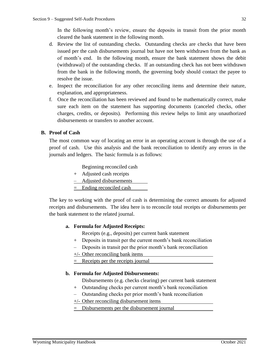In the following month's review, ensure the deposits in transit from the prior month cleared the bank statement in the following month.

- d. Review the list of outstanding checks. Outstanding checks are checks that have been issued per the cash disbursements journal but have not been withdrawn from the bank as of month's end. In the following month, ensure the bank statement shows the debit (withdrawal) of the outstanding checks. If an outstanding check has not been withdrawn from the bank in the following month, the governing body should contact the payee to resolve the issue.
- e. Inspect the reconciliation for any other reconciling items and determine their nature, explanation, and appropriateness.
- f. Once the reconciliation has been reviewed and found to be mathematically correct, make sure each item on the statement has supporting documents (canceled checks, other charges, credits, or deposits). Performing this review helps to limit any unauthorized disbursements or transfers to another account.

## **B. Proof of Cash**

The most common way of locating an error in an operating account is through the use of a proof of cash. Use this analysis and the bank reconciliation to identify any errors in the journals and ledgers. The basic formula is as follows:

Beginning reconciled cash

- + Adjusted cash receipts
- Adjusted disbursements
- = Ending reconciled cash

The key to working with the proof of cash is determining the correct amounts for adjusted receipts and disbursements. The idea here is to reconcile total receipts or disbursements per the bank statement to the related journal.

## **a. Formula for Adjusted Receipts:**

Receipts (e.g., deposits) per current bank statement

- + Deposits in transit per the current month's bank reconciliation
- Deposits in transit per the prior month's bank reconciliation
- +/- Other reconciling bank items
- $=$  Receipts per the receipts journal

## **b. Formula for Adjusted Disbursements:**

Disbursements (e.g. checks clearing) per current bank statement

- + Outstanding checks per current month's bank reconciliation
- Outstanding checks per prior month's bank reconciliation
- +/- Other reconciling disbursement items
- $\equiv$  Disbursements per the disbursement journal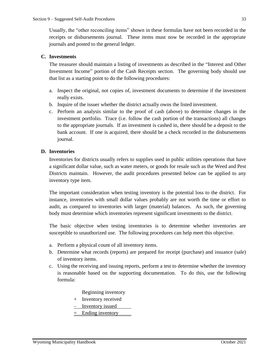Usually, the "other reconciling items" shown in these formulas have not been recorded in the receipts or disbursements journal. These items must now be recorded in the appropriate journals and posted to the general ledger.

#### **C. Investments**

The treasurer should maintain a listing of investments as described in the "Interest and Other Investment Income" portion of the Cash Receipts section. The governing body should use that list as a starting point to do the following procedures:

- a. Inspect the original, not copies of, investment documents to determine if the investment really exists.
- b. Inquire of the issuer whether the district actually owns the listed investment.
- c. Perform an analysis similar to the proof of cash (above) to determine changes in the investment portfolio. Trace (i.e. follow the cash portion of the transactions) all changes to the appropriate journals. If an investment is cashed in, there should be a deposit to the bank account. If one is acquired, there should be a check recorded in the disbursements journal.

#### **D. Inventories**

Inventories for districts usually refers to supplies used in public utilities operations that have a significant dollar value, such as water meters, or goods for resale such as the Weed and Pest Districts maintain. However, the audit procedures presented below can be applied to any inventory type item.

The important consideration when testing inventory is the potential loss to the district. For instance, inventories with small dollar values probably are not worth the time or effort to audit, as compared to inventories with larger (material) balances. As such, the governing body must determine which inventories represent significant investments to the district.

The basic objective when testing inventories is to determine whether inventories are susceptible to unauthorized use. The following procedures can help meet this objective.

- a. Perform a physical count of all inventory items.
- b. Determine what records (reports) are prepared for receipt (purchase) and issuance (sale) of inventory items.
- c. Using the receiving and issuing reports, perform a test to determine whether the inventory is reasonable based on the supporting documentation. To do this, use the following formula:
	- Beginning inventory
	- + Inventory received
	- Inventory issued
	- $\equiv$  Ending inventory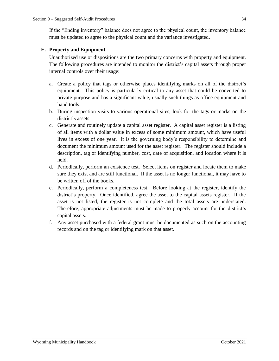If the "Ending inventory" balance does not agree to the physical count, the inventory balance must be updated to agree to the physical count and the variance investigated.

## **E. Property and Equipment**

Unauthorized use or dispositions are the two primary concerns with property and equipment. The following procedures are intended to monitor the district's capital assets through proper internal controls over their usage:

- a. Create a policy that tags or otherwise places identifying marks on all of the district's equipment. This policy is particularly critical to any asset that could be converted to private purpose and has a significant value, usually such things as office equipment and hand tools.
- b. During inspection visits to various operational sites, look for the tags or marks on the district's assets.
- c. Generate and routinely update a capital asset register. A capital asset register is a listing of all items with a dollar value in excess of some minimum amount, which have useful lives in excess of one year. It is the governing body's responsibility to determine and document the minimum amount used for the asset register. The register should include a description, tag or identifying number, cost, date of acquisition, and location where it is held.
- d. Periodically, perform an existence test. Select items on register and locate them to make sure they exist and are still functional. If the asset is no longer functional, it may have to be written off of the books.
- e. Periodically, perform a completeness test. Before looking at the register, identify the district's property. Once identified, agree the asset to the capital assets register. If the asset is not listed, the register is not complete and the total assets are understated. Therefore, appropriate adjustments must be made to properly account for the district's capital assets.
- f. Any asset purchased with a federal grant must be documented as such on the accounting records and on the tag or identifying mark on that asset.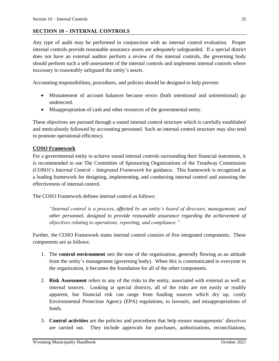## <span id="page-35-0"></span>**SECTION 10 – INTERNAL CONTROLS**

Any type of audit may be performed in conjunction with an internal control evaluation. Proper internal controls provide reasonable assurance assets are adequately safeguarded. If a special district does not have an external auditor perform a review of the internal controls, the governing body should perform such a self-assessment of the internal controls and implement internal controls where necessary to reasonably safeguard the entity's assets.

Accounting responsibilities, procedures, and policies should be designed to help prevent:

- Misstatement of account balances because errors (both intentional and unintentional) go undetected.
- Misappropriation of cash and other resources of the governmental entity.

These objectives are pursued through a sound internal control structure which is carefully established and meticulously followed by accounting personnel. Such an internal control structure may also tend to promote operational efficiency.

## <span id="page-35-1"></span>**COSO Framework**

For a governmental entity to achieve sound internal controls surrounding their financial statements, it is recommended to use The Committee of Sponsoring Organizations of the Treadway Commission (COSO)'s *Internal Control – Integrated Framework* for guidance. This framework is recognized as a leading framework for designing, implementing, and conducting internal control and assessing the effectiveness of internal control.

The COSO Framework defines internal control as follows:

*"Internal control is a process, affected by an entity's board of directors, management, and other personnel, designed to provide reasonable assurance regarding the achievement of objectives relating to operations, reporting, and compliance."*

Further, the COSO Framework states internal control consists of five integrated components. These components are as follows:

- 1. The **control environment** sets the tone of the organization, generally flowing as an attitude from the entity's management (governing body). When this is communicated to everyone in the organization, it becomes the foundation for all of the other components.
- 2. **Risk Assessment** refers to any of the risks to the entity, associated with external as well as internal sources. Looking at special districts, all of the risks are not easily or readily apparent, but financial risk can range from funding sources which dry up, costly Environmental Protection Agency (EPA) regulations, to lawsuits, and misappropriations of funds.
- 3. **Control activities** are the policies and procedures that help ensure managements' directives are carried out. They include approvals for purchases, authorizations, reconciliations,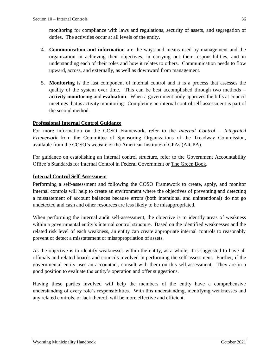monitoring for compliance with laws and regulations, security of assets, and segregation of duties. The activities occur at all levels of the entity.

- 4. **Communication and information** are the ways and means used by management and the organization in achieving their objectives, in carrying out their responsibilities, and in understanding each of their roles and how it relates to others. Communication needs to flow upward, across, and externally, as well as downward from management.
- 5. **Monitoring** is the last component of internal control and it is a process that assesses the quality of the system over time. This can be best accomplished through two methods – **activity monitoring** and **evaluation**. When a government body approves the bills at council meetings that is activity monitoring. Completing an internal control self-assessment is part of the second method.

## <span id="page-36-0"></span>**Professional Internal Control Guidance**

For more information on the COSO Framework, refer to the *Internal Control – Integrated Framework* from the Committee of Sponsoring Organizations of the Treadway Commission, available from the COSO's website or the American Institute of CPAs (AICPA).

For guidance on establishing an internal control structure, refer to the Government Accountability Office's Standards for Internal Control in Federal Government or The Green Book.

## <span id="page-36-1"></span>**Internal Control Self-Assessment**

Performing a self-assessment and following the COSO Framework to create, apply, and monitor internal controls will help to create an environment where the objectives of preventing and detecting a misstatement of account balances because errors (both intentional and unintentional) do not go undetected and cash and other resources are less likely to be misappropriated.

When performing the internal audit self-assessment, the objective is to identify areas of weakness within a governmental entity's internal control structure. Based on the identified weaknesses and the related risk level of each weakness, an entity can create appropriate internal controls to reasonably prevent or detect a misstatement or misappropriation of assets.

As the objective is to identify weaknesses within the entity, as a whole, it is suggested to have all officials and related boards and councils involved in performing the self-assessment. Further, if the governmental entity uses an accountant, consult with them on this self-assessment. They are in a good position to evaluate the entity's operation and offer suggestions.

Having these parties involved will help the members of the entity have a comprehensive understanding of every role's responsibilities. With this understanding, identifying weaknesses and any related controls, or lack thereof, will be more effective and efficient.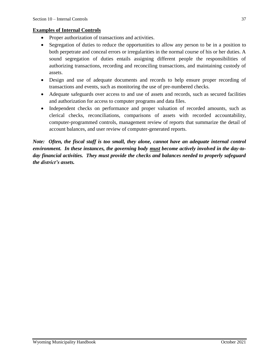## **Examples of Internal Controls**

- Proper authorization of transactions and activities.
- Segregation of duties to reduce the opportunities to allow any person to be in a position to both perpetrate and conceal errors or irregularities in the normal course of his or her duties. A sound segregation of duties entails assigning different people the responsibilities of authorizing transactions, recording and reconciling transactions, and maintaining custody of assets.
- Design and use of adequate documents and records to help ensure proper recording of transactions and events, such as monitoring the use of pre-numbered checks.
- Adequate safeguards over access to and use of assets and records, such as secured facilities and authorization for access to computer programs and data files.
- Independent checks on performance and proper valuation of recorded amounts, such as clerical checks, reconciliations, comparisons of assets with recorded accountability, computer-programmed controls, management review of reports that summarize the detail of account balances, and user review of computer-generated reports.

*Note: Often, the fiscal staff is too small, they alone, cannot have an adequate internal control environment. In these instances, the governing body must become actively involved in the day-today financial activities. They must provide the checks and balances needed to properly safeguard the district's assets.*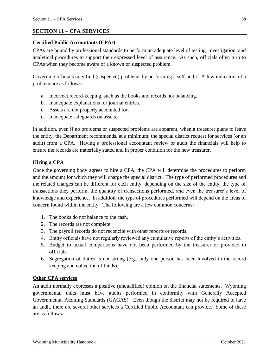## <span id="page-38-0"></span>**SECTION 11 – CPA SERVICES**

## <span id="page-38-1"></span>**Certified Public Accountants (CPAs)**

CPAs are bound by professional standards to perform an adequate level of testing, investigation, and analytical procedures to support their expressed level of assurance. As such, officials often turn to CPAs when they become aware of a known or suspected problem.

Governing officials may find (suspected) problems by performing a self-audit. A few indicators of a problem are as follows:

- a. Incorrect record-keeping, such as the books and records not balancing.
- b. Inadequate explanations for journal entries.
- c. Assets are not properly accounted for.
- d. Inadequate safeguards on assets.

In addition, even if no problems or suspected problems are apparent, when a treasurer plans to leave the entity, the Department recommends, at a minimum, the special district request for services (or an audit) from a CPA. Having a professional accountant review or audit the financials will help to ensure the records are materially stated and in proper condition for the new treasurer.

#### <span id="page-38-2"></span>**Hiring a CPA**

Once the governing body agrees to hire a CPA, the CPA will determine the procedures to perform and the amount for which they will charge the special district. The type of performed procedures and the related charges can be different for each entity, depending on the size of the entity, the type of transactions they perform, the quantity of transactions performed, and even the treasurer's level of knowledge and experience. In addition, the type of procedures performed will depend on the areas of concern found within the entity. The following are a few common concerns:

- 1. The books do not balance to the cash.
- 2. The records are not complete.
- 3. The payroll records do not reconcile with other reports or records.
- 4. Entity officials have not regularly reviewed any cumulative reports of the entity's activities.
- 5. Budget to actual comparisons have not been performed by the treasurer or provided to officials.
- 6. Segregation of duties is not strong (e.g., only one person has been involved in the record keeping and collection of funds).

#### <span id="page-38-3"></span>**Other CPA services**

An audit normally expresses a positive (unqualified) opinion on the financial statements. Wyoming governmental units must have audits performed in conformity with Generally Accepted Governmental Auditing Standards (GAGAS). Even though the district may not be required to have an audit, there are several other services a Certified Public Accountant can provide. Some of these are as follows: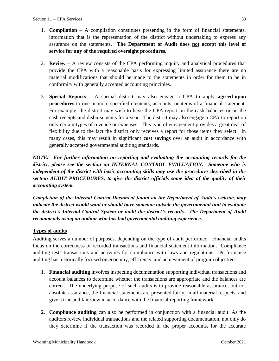- 1. **Compilation**  A compilation constitutes presenting in the form of financial statements, information that is the representation of the district without undertaking to express any assurance on the statements. **The Department of Audit does not accept this level of service for any of the required oversight procedures.**
- 2. **Review** A review consists of the CPA performing inquiry and analytical procedures that provide the CPA with a reasonable basis for expressing limited assurance there are no material modifications that should be made to the statements in order for them to be in conformity with generally accepted accounting principles.
- 3. **Special Reports** A special district may also engage a CPA to apply **agreed-upon procedures** to one or more specified elements, accounts, or items of a financial statement. For example, the district may wish to have the CPA report on the cash balances or on the cash receipts and disbursements for a year. The district may also engage a CPA to report on only certain types of revenue or expenses. This type of engagement provides a great deal of flexibility due to the fact the district only receives a report for those items they select. In many cases, this may result in significant **cost savings** over an audit in accordance with generally accepted governmental auditing standards.

*NOTE: For further information on reporting and evaluating the accounting records for the district, please see the section on INTERNAL CONTROL EVALUATION. Someone who is independent of the district with basic accounting skills may use the procedures described in the section AUDIT PROCEDURES, to give the district officials some idea of the quality of their accounting system.*

*Completion of the Internal Control Document found on the Department of Audit's website, may indicate the district would want or should have someone outside the governmental unit to evaluate the district's Internal Control System or audit the district's records. The Department of Audit recommends using an auditor who has had governmental auditing experience.* 

## <span id="page-39-0"></span>**Types of audits**

Auditing serves a number of purposes, depending on the type of audit performed. Financial audits focus on the correctness of recorded transactions and financial statement information. Compliance auditing tests transactions and activities for compliance with laws and regulations. Performance auditing has historically focused on economy, efficiency, and achievement of program objectives.

- 1. **Financial auditing** involves inspecting documentation supporting individual transactions and account balances to determine whether the transactions are appropriate and the balances are correct. The underlying purpose of such audits is to provide reasonable assurance, but not absolute assurance, the financial statements are presented fairly, in all material respects, and give a true and fair view in accordance with the financial reporting framework.
- **2. Compliance auditing** can also be performed in conjunction with a financial audit. As the auditors review individual transactions and the related supporting documentation, not only do they determine if the transaction was recorded in the proper accounts, for the accurate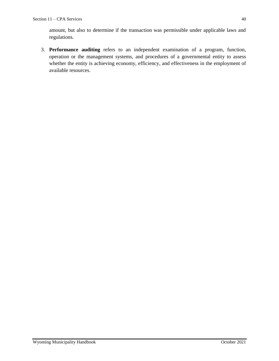amount, but also to determine if the transaction was permissible under applicable laws and regulations.

3. **Performance auditing** refers to an independent examination of a program, function, operation or the management systems, and procedures of a governmental entity to assess whether the entity is achieving economy, efficiency, and effectiveness in the employment of available resources.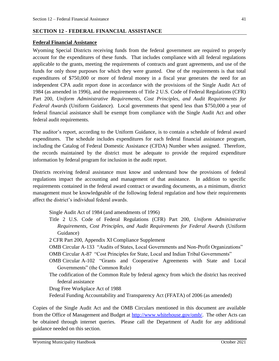## <span id="page-41-0"></span>**SECTION 12 - FEDERAL FINANCIAL ASSISTANCE**

#### <span id="page-41-1"></span>**Federal Financial Assistance**

Wyoming Special Districts receiving funds from the federal government are required to properly account for the expenditures of these funds. That includes compliance with all federal regulations applicable to the grants, meeting the requirements of contracts and grant agreements, and use of the funds for only those purposes for which they were granted. One of the requirements is that total expenditures of \$750,000 or more of federal money in a fiscal year generates the need for an independent CPA audit report done in accordance with the provisions of the Single Audit Act of 1984 (as amended in 1996), and the requirements of Title 2 U.S. Code of Federal Regulations (CFR) Part 200, *Uniform Administrative Requirements, Cost Principles, and Audit Requirements for Federal Awards* (Uniform Guidance). Local governments that spend less than \$750,000 a year of federal financial assistance shall be exempt from compliance with the Single Audit Act and other federal audit requirements.

The auditor's report, according to the Uniform Guidance, is to contain a schedule of federal award expenditures. The schedule includes expenditures for each federal financial assistance program, including the Catalog of Federal Domestic Assistance (CFDA) Number when assigned. Therefore, the records maintained by the district must be adequate to provide the required expenditure information by federal program for inclusion in the audit report.

Districts receiving federal assistance must know and understand how the provisions of federal regulations impact the accounting and management of that assistance. In addition to specific requirements contained in the federal award contract or awarding documents, as a minimum, district management must be knowledgeable of the following federal regulation and how their requirements affect the district's individual federal awards.

Single Audit Act of 1984 (and amendments of 1996)

- Title 2 U.S. Code of Federal Regulations (CFR) Part 200, *Uniform Administrative Requirements, Cost Principles, and Audit Requirements for Federal Awards* (Uniform Guidance)
- 2 CFR Part 200, Appendix XI Compliance Supplement
- OMB Circular A-133 "Audits of States, Local Governments and Non-Profit Organizations"
- OMB Circular A-87 "Cost Principles for State, Local and Indian Tribal Governments"
- OMB Circular A-102 "Grants and Cooperative Agreements with State and Local Governments" (the Common Rule)
- The codification of the Common Rule by federal agency from which the district has received federal assistance

Drug Free Workplace Act of 1988

Federal Funding Accountability and Transparency Act (FFATA) of 2006 (as amended)

Copies of the Single Audit Act and the OMB Circulars mentioned in this document are available from the Office of Management and Budget at [http://www.whitehouse.gov/omb/.](http://www.whitehouse.gov/omb/) The other Acts can be obtained through internet queries. Please call the Department of Audit for any additional guidance needed on this section.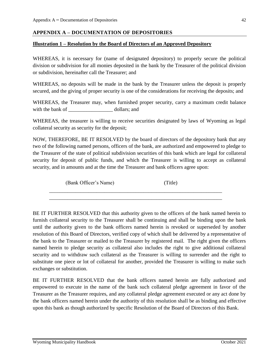## <span id="page-42-0"></span>**APPENDIX A – DOCUMENTATION OF DEPOSITORIES**

#### <span id="page-42-1"></span>**Illustration 1 – Resolution by the Board of Directors of an Approved Depository**

WHEREAS, it is necessary for (name of designated depository) to properly secure the political division or subdivision for all monies deposited in the bank by the Treasurer of the political division or subdivision, hereinafter call the Treasurer; and

WHEREAS, no deposits will be made in the bank by the Treasurer unless the deposit is properly secured, and the giving of proper security is one of the considerations for receiving the deposits; and

WHEREAS, the Treasurer may, when furnished proper security, carry a maximum credit balance with the bank of \_\_\_\_\_\_\_\_\_\_\_\_\_\_\_\_\_\_\_\_\_\_ dollars; and

WHEREAS, the treasurer is willing to receive securities designated by laws of Wyoming as legal collateral security as security for the deposit;

NOW, THEREFORE, BE IT RESOLVED by the board of directors of the depository bank that any two of the following named persons, officers of the bank, are authorized and empowered to pledge to the Treasurer of the state of political subdivision securities of this bank which are legal for collateral security for deposit of public funds, and which the Treasurer is willing to accept as collateral security, and in amounts and at the time the Treasurer and bank officers agree upon:

| (Bank Officer's Name) | (Title) |  |
|-----------------------|---------|--|
|                       |         |  |

\_\_\_\_\_\_\_\_\_\_\_\_\_\_\_\_\_\_\_\_\_\_\_\_\_\_\_\_\_\_\_\_\_\_\_\_\_\_\_\_\_\_\_\_\_\_\_\_\_\_\_\_\_\_\_\_\_\_\_\_\_\_\_\_\_\_

BE IT FURTHER RESOLVED that this authority given to the officers of the bank named herein to furnish collateral security to the Treasurer shall be continuing and shall be binding upon the bank until the authority given to the bank officers named herein is revoked or superseded by another resolution of this Board of Directors, verified copy of which shall be delivered by a representative of the bank to the Treasurer or mailed to the Treasurer by registered mail. The right given the officers named herein to pledge security as collateral also includes the right to give additional collateral security and to withdraw such collateral as the Treasurer is willing to surrender and the right to substitute one piece or lot of collateral for another, provided the Treasurer is willing to make such exchanges or substitution.

BE IT FURTHER RESOLVED that the bank officers named herein are fully authorized and empowered to execute in the name of the bank such collateral pledge agreement in favor of the Treasurer as the Treasurer requires, and any collateral pledge agreement executed or any act done by the bank officers named herein under the authority of this resolution shall be as binding and effective upon this bank as though authorized by specific Resolution of the Board of Directors of this Bank.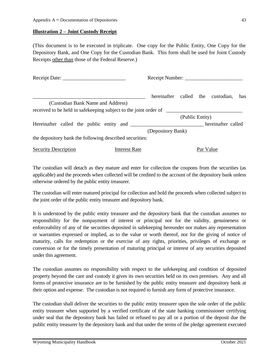#### <span id="page-43-0"></span>**Illustration 2 – Joint Custody Receipt**

(This document is to be executed in triplicate. One copy for the Public Entity, One Copy for the Depository Bank, and One Copy for the Custodian Bank. This form shall be used for Joint Custody Receipts other than those of the Federal Reserve.)

|                                                                                            |                      | Receipt Number:                   |                 |           |     |
|--------------------------------------------------------------------------------------------|----------------------|-----------------------------------|-----------------|-----------|-----|
|                                                                                            |                      | hereinafter called the custodian, |                 |           | has |
| (Custodian Bank Name and Address)                                                          |                      |                                   |                 |           |     |
| received to be held in safekeeping subject to the joint order of                           |                      |                                   |                 |           |     |
|                                                                                            |                      |                                   | (Public Entity) |           |     |
| Hereinafter called the public entity and _______________________________hereinafter called |                      |                                   |                 |           |     |
|                                                                                            |                      | (Depository Bank)                 |                 |           |     |
| the depository bank the following described securities:                                    |                      |                                   |                 |           |     |
| <b>Security Description</b>                                                                | <b>Interest Rate</b> |                                   |                 | Par Value |     |

The custodian will detach as they mature and enter for collection the coupons from the securities (as applicable) and the proceeds when collected will be credited to the account of the depository bank unless otherwise ordered by the public entity treasurer.

The custodian will enter matured principal for collection and hold the proceeds when collected subject to the joint order of the public entity treasurer and depository bank.

It is understood by the public entity treasurer and the depository bank that the custodian assumes no responsibility for the nonpayment of interest or principal nor for the validity, genuineness or enforceability of any of the securities deposited in safekeeping hereunder nor makes any representation or warranties expressed or implied, as to the value or worth thereof, nor for the giving of notice of maturity, calls for redemption or the exercise of any rights, priorities, privileges of exchange or conversion or for the timely presentation of maturing principal or interest of any securities deposited under this agreement.

The custodian assumes no responsibility with respect to the safekeeping and condition of deposited property beyond the care and custody it gives its own securities held on its own premises. Any and all forms of protective insurance are to be furnished by the public entity treasurer and depository bank at their option and expense. The custodian is not required to furnish any form of protective insurance.

The custodian shall deliver the securities to the public entity treasurer upon the sole order of the public entity treasurer when supported by a verified certificate of the state banking commissioner certifying under seal that the depository bank has failed or refused to pay all or a portion of the deposit due the public entity treasurer by the depository bank and that under the terms of the pledge agreement executed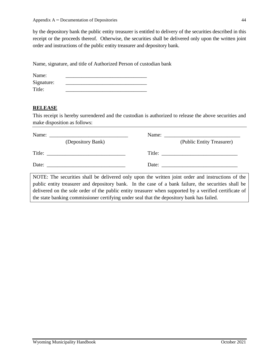by the depository bank the public entity treasurer is entitled to delivery of the securities described in this receipt or the proceeds thereof. Otherwise, the securities shall be delivered only upon the written joint order and instructions of the public entity treasurer and depository bank.

Name, signature, and title of Authorized Person of custodian bank

| Name:      |  |
|------------|--|
| Signature: |  |
| Title:     |  |

## <span id="page-44-0"></span>**RELEASE**

This receipt is hereby surrendered and the custodian is authorized to release the above securities and make disposition as follows:

| (Depository Bank)                                                                                       |                                                          | (Public Entity Treasurer) |
|---------------------------------------------------------------------------------------------------------|----------------------------------------------------------|---------------------------|
|                                                                                                         | Title: $\qquad \qquad$                                   |                           |
|                                                                                                         | Date: $\frac{1}{\sqrt{1-\frac{1}{2}} \cdot \frac{1}{2}}$ |                           |
| MOTE, The committee shall be delivered and comes the multiple below and subset of instruments on of the |                                                          |                           |

NOTE: The securities shall be delivered only upon the written joint order and instructions of the public entity treasurer and depository bank. In the case of a bank failure, the securities shall be delivered on the sole order of the public entity treasurer when supported by a verified certificate of the state banking commissioner certifying under seal that the depository bank has failed.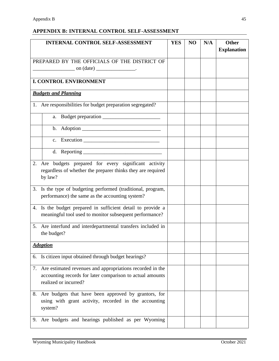# <span id="page-45-0"></span>**APPENDIX B: INTERNAL CONTROL SELF-ASSESSMENT**

| <b>INTERNAL CONTROL SELF-ASSESSMENT</b>                                                                                                                                                                                                                                                                                                                                                                                                                                                       | <b>YES</b> | N <sub>O</sub> | N/A | <b>Other</b><br><b>Explanation</b> |
|-----------------------------------------------------------------------------------------------------------------------------------------------------------------------------------------------------------------------------------------------------------------------------------------------------------------------------------------------------------------------------------------------------------------------------------------------------------------------------------------------|------------|----------------|-----|------------------------------------|
| PREPARED BY THE OFFICIALS OF THE DISTRICT OF<br>$\frac{1}{\sqrt{1-\frac{1}{2}}}\cdot\frac{1}{\sqrt{1-\frac{1}{2}}}\cdot\frac{1}{\sqrt{1-\frac{1}{2}}}\cdot\frac{1}{\sqrt{1-\frac{1}{2}}}\cdot\frac{1}{\sqrt{1-\frac{1}{2}}}\cdot\frac{1}{\sqrt{1-\frac{1}{2}}}\cdot\frac{1}{\sqrt{1-\frac{1}{2}}}\cdot\frac{1}{\sqrt{1-\frac{1}{2}}}\cdot\frac{1}{\sqrt{1-\frac{1}{2}}}\cdot\frac{1}{\sqrt{1-\frac{1}{2}}}\cdot\frac{1}{\sqrt{1-\frac{1}{2}}}\cdot\frac{1}{\sqrt{1-\frac{1}{2}}}\cdot\frac{1$ |            |                |     |                                    |
| <b>I. CONTROL ENVIRONMENT</b>                                                                                                                                                                                                                                                                                                                                                                                                                                                                 |            |                |     |                                    |
| <b>Budgets and Planning</b>                                                                                                                                                                                                                                                                                                                                                                                                                                                                   |            |                |     |                                    |
| Are responsibilities for budget preparation segregated?<br>1.                                                                                                                                                                                                                                                                                                                                                                                                                                 |            |                |     |                                    |
|                                                                                                                                                                                                                                                                                                                                                                                                                                                                                               |            |                |     |                                    |
| $\mathbf{b}$ .                                                                                                                                                                                                                                                                                                                                                                                                                                                                                |            |                |     |                                    |
| <u> 1980 - Johann Barn, amerikan besteman besteman besteman besteman besteman besteman besteman besteman bestema</u><br>$c_{\cdot}$                                                                                                                                                                                                                                                                                                                                                           |            |                |     |                                    |
|                                                                                                                                                                                                                                                                                                                                                                                                                                                                                               |            |                |     |                                    |
| Are budgets prepared for every significant activity<br>2.<br>regardless of whether the preparer thinks they are required<br>by law?                                                                                                                                                                                                                                                                                                                                                           |            |                |     |                                    |
| Is the type of budgeting performed (traditional, program,<br>3.<br>performance) the same as the accounting system?                                                                                                                                                                                                                                                                                                                                                                            |            |                |     |                                    |
| 4. Is the budget prepared in sufficient detail to provide a<br>meaningful tool used to monitor subsequent performance?                                                                                                                                                                                                                                                                                                                                                                        |            |                |     |                                    |
| 5. Are interfund and interdepartmental transfers included in<br>the budget?                                                                                                                                                                                                                                                                                                                                                                                                                   |            |                |     |                                    |
| <b>Adoption</b>                                                                                                                                                                                                                                                                                                                                                                                                                                                                               |            |                |     |                                    |
| 6. Is citizen input obtained through budget hearings?                                                                                                                                                                                                                                                                                                                                                                                                                                         |            |                |     |                                    |
| 7. Are estimated revenues and appropriations recorded in the<br>accounting records for later comparison to actual amounts<br>realized or incurred?                                                                                                                                                                                                                                                                                                                                            |            |                |     |                                    |
| 8. Are budgets that have been approved by grantors, for<br>using with grant activity, recorded in the accounting<br>system?                                                                                                                                                                                                                                                                                                                                                                   |            |                |     |                                    |
| Are budgets and hearings published as per Wyoming<br>9.                                                                                                                                                                                                                                                                                                                                                                                                                                       |            |                |     |                                    |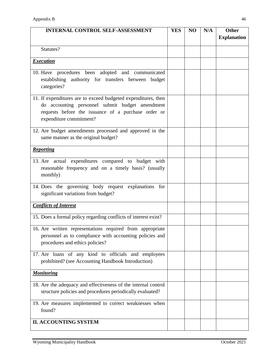| <b>INTERNAL CONTROL SELF-ASSESSMENT</b>                                                                                                                                                            | <b>YES</b> | NO | N/A | <b>Other</b><br><b>Explanation</b> |
|----------------------------------------------------------------------------------------------------------------------------------------------------------------------------------------------------|------------|----|-----|------------------------------------|
|                                                                                                                                                                                                    |            |    |     |                                    |
| Statutes?                                                                                                                                                                                          |            |    |     |                                    |
| <b>Execution</b>                                                                                                                                                                                   |            |    |     |                                    |
| 10. Have procedures been adopted and communicated<br>establishing authority for transfers between budget<br>categories?                                                                            |            |    |     |                                    |
| 11. If expenditures are to exceed budgeted expenditures, then<br>do accounting personnel submit budget amendment<br>requests before the issuance of a purchase order or<br>expenditure commitment? |            |    |     |                                    |
| 12. Are budget amendments processed and approved in the<br>same manner as the original budget?                                                                                                     |            |    |     |                                    |
| <b>Reporting</b>                                                                                                                                                                                   |            |    |     |                                    |
| 13. Are actual expenditures compared to budget with<br>reasonable frequency and on a timely basis? (usually<br>monthly)                                                                            |            |    |     |                                    |
| 14. Does the governing body request explanations for<br>significant variations from budget?                                                                                                        |            |    |     |                                    |
| <b>Conflicts of Interest</b>                                                                                                                                                                       |            |    |     |                                    |
| 15. Does a formal policy regarding conflicts of interest exist?                                                                                                                                    |            |    |     |                                    |
| 16. Are written representations required from appropriate<br>personnel as to compliance with accounting policies and<br>procedures and ethics policies?                                            |            |    |     |                                    |
| 17. Are loans of any kind to officials and employees<br>prohibited? (see Accounting Handbook Introduction)                                                                                         |            |    |     |                                    |
| <b>Monitoring</b>                                                                                                                                                                                  |            |    |     |                                    |
| 18. Are the adequacy and effectiveness of the internal control<br>structure policies and procedures periodically evaluated?                                                                        |            |    |     |                                    |
| 19. Are measures implemented to correct weaknesses when<br>found?                                                                                                                                  |            |    |     |                                    |
| <b>II. ACCOUNTING SYSTEM</b>                                                                                                                                                                       |            |    |     |                                    |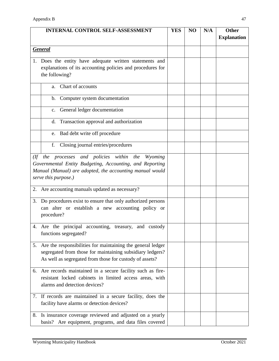| <b>INTERNAL CONTROL SELF-ASSESSMENT</b>                                                                                                                                                           | <b>YES</b> | NO | N/A | <b>Other</b>       |
|---------------------------------------------------------------------------------------------------------------------------------------------------------------------------------------------------|------------|----|-----|--------------------|
|                                                                                                                                                                                                   |            |    |     | <b>Explanation</b> |
| <b>General</b>                                                                                                                                                                                    |            |    |     |                    |
| 1. Does the entity have adequate written statements and                                                                                                                                           |            |    |     |                    |
| explanations of its accounting policies and procedures for                                                                                                                                        |            |    |     |                    |
| the following?                                                                                                                                                                                    |            |    |     |                    |
| Chart of accounts<br>a.                                                                                                                                                                           |            |    |     |                    |
| Computer system documentation<br>$\mathbf{b}$ .                                                                                                                                                   |            |    |     |                    |
| c. General ledger documentation                                                                                                                                                                   |            |    |     |                    |
| Transaction approval and authorization<br>d.                                                                                                                                                      |            |    |     |                    |
| e. Bad debt write off procedure                                                                                                                                                                   |            |    |     |                    |
| Closing journal entries/procedures<br>f.                                                                                                                                                          |            |    |     |                    |
| (If the processes and policies within the Wyoming<br>Governmental Entity Budgeting, Accounting, and Reporting<br>Manual (Manual) are adopted, the accounting manual would<br>serve this purpose.) |            |    |     |                    |
| 2. Are accounting manuals updated as necessary?                                                                                                                                                   |            |    |     |                    |
| 3. Do procedures exist to ensure that only authorized persons<br>can alter or establish a new accounting policy or<br>procedure?                                                                  |            |    |     |                    |
| 4. Are the principal accounting, treasury, and custody<br>functions segregated?                                                                                                                   |            |    |     |                    |
| 5. Are the responsibilities for maintaining the general ledger<br>segregated from those for maintaining subsidiary ledgers?<br>As well as segregated from those for custody of assets?            |            |    |     |                    |
| 6. Are records maintained in a secure facility such as fire-<br>resistant locked cabinets in limited access areas, with<br>alarms and detection devices?                                          |            |    |     |                    |
| 7. If records are maintained in a secure facility, does the<br>facility have alarms or detection devices?                                                                                         |            |    |     |                    |
| 8. Is insurance coverage reviewed and adjusted on a yearly<br>basis? Are equipment, programs, and data files covered                                                                              |            |    |     |                    |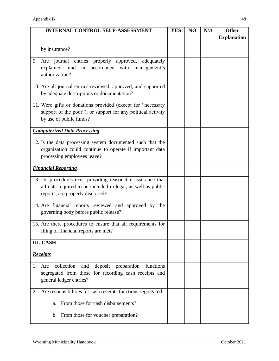| <b>INTERNAL CONTROL SELF-ASSESSMENT</b>                                                                                                                         | <b>YES</b> | NO | N/A | <b>Other</b><br><b>Explanation</b> |
|-----------------------------------------------------------------------------------------------------------------------------------------------------------------|------------|----|-----|------------------------------------|
|                                                                                                                                                                 |            |    |     |                                    |
| by insurance?                                                                                                                                                   |            |    |     |                                    |
| Are journal entries properly approved, adequately<br>9.<br>explained, and in accordance with management's<br>authorization?                                     |            |    |     |                                    |
| 10. Are all journal entries reviewed, approved, and supported<br>by adequate descriptions or documentation?                                                     |            |    |     |                                    |
| 11. Were gifts or donations provided (except for "necessary<br>support of the poor"), or support for any political activity<br>by use of public funds?          |            |    |     |                                    |
| <b>Computerized Data Processing</b>                                                                                                                             |            |    |     |                                    |
| 12. Is the data processing system documented such that the<br>organization could continue to operate if important data<br>processing employees leave?           |            |    |     |                                    |
| <b>Financial Reporting</b>                                                                                                                                      |            |    |     |                                    |
| 13. Do procedures exist providing reasonable assurance that<br>all data required to be included in legal, as well as public<br>reports, are properly disclosed? |            |    |     |                                    |
| 14. Are financial reports reviewed and approved by the<br>governing body before public release?                                                                 |            |    |     |                                    |
| 15. Are there procedures to ensure that all requirements for<br>filing of financial reports are met?                                                            |            |    |     |                                    |
| <b>III. CASH</b>                                                                                                                                                |            |    |     |                                    |
| <b>Receipts</b>                                                                                                                                                 |            |    |     |                                    |
| collection<br>deposit<br>preparation<br>and<br>functions<br>1.<br>Are<br>segregated from those for recording cash receipts and<br>general ledger entries?       |            |    |     |                                    |
| Are responsibilities for cash receipts functions segregated<br>2.                                                                                               |            |    |     |                                    |
| From those for cash disbursements?<br>a.                                                                                                                        |            |    |     |                                    |
| b. From those for voucher preparation?                                                                                                                          |            |    |     |                                    |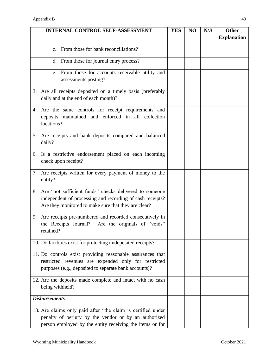| <b>INTERNAL CONTROL SELF-ASSESSMENT</b>                                                                                                                                          | <b>YES</b> | NO | N/A | <b>Other</b>       |
|----------------------------------------------------------------------------------------------------------------------------------------------------------------------------------|------------|----|-----|--------------------|
|                                                                                                                                                                                  |            |    |     | <b>Explanation</b> |
| From those for bank reconciliations?<br>C <sub>1</sub>                                                                                                                           |            |    |     |                    |
| d. From those for journal entry process?                                                                                                                                         |            |    |     |                    |
| From those for accounts receivable utility and<br>e.<br>assessments posting?                                                                                                     |            |    |     |                    |
| 3. Are all receipts deposited on a timely basis (preferably<br>daily and at the end of each month)?                                                                              |            |    |     |                    |
| 4. Are the same controls for receipt requirements and<br>deposits maintained and enforced in all collection<br>locations?                                                        |            |    |     |                    |
| 5. Are receipts and bank deposits compared and balanced<br>daily?                                                                                                                |            |    |     |                    |
| 6. Is a restrictive endorsement placed on each incoming<br>check upon receipt?                                                                                                   |            |    |     |                    |
| 7. Are receipts written for every payment of money to the<br>entity?                                                                                                             |            |    |     |                    |
| 8. Are "not sufficient funds" checks delivered to someone<br>independent of processing and recording of cash receipts?<br>Are they monitored to make sure that they are clear?   |            |    |     |                    |
| 9. Are receipts pre-numbered and recorded consecutively in<br>the Receipts Journal? Are the originals of "voids"<br>retained?                                                    |            |    |     |                    |
| 10. Do facilities exist for protecting undeposited receipts?                                                                                                                     |            |    |     |                    |
| 11. Do controls exist providing reasonable assurances that<br>restricted revenues are expended only for restricted<br>purposes (e.g., deposited to separate bank accounts)?      |            |    |     |                    |
| 12. Are the deposits made complete and intact with no cash<br>being withheld?                                                                                                    |            |    |     |                    |
| <b>Disbursements</b>                                                                                                                                                             |            |    |     |                    |
| 13. Are claims only paid after "the claim is certified under<br>penalty of perjury by the vendor or by an authorized<br>person employed by the entity receiving the items or for |            |    |     |                    |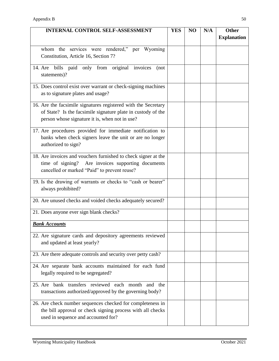| <b>INTERNAL CONTROL SELF-ASSESSMENT</b>                                                                                                                                          | <b>YES</b> | NO | N/A | <b>Other</b><br><b>Explanation</b> |
|----------------------------------------------------------------------------------------------------------------------------------------------------------------------------------|------------|----|-----|------------------------------------|
| whom the services were rendered," per Wyoming<br>Constitution, Article 16, Section 7?                                                                                            |            |    |     |                                    |
| 14. Are bills paid only from original invoices<br>(not<br>statements)?                                                                                                           |            |    |     |                                    |
| 15. Does control exist over warrant or check-signing machines<br>as to signature plates and usage?                                                                               |            |    |     |                                    |
| 16. Are the facsimile signatures registered with the Secretary<br>of State? Is the facsimile signature plate in custody of the<br>person whose signature it is, when not in use? |            |    |     |                                    |
| 17. Are procedures provided for immediate notification to<br>banks when check signers leave the unit or are no longer<br>authorized to sign?                                     |            |    |     |                                    |
| 18. Are invoices and vouchers furnished to check signer at the<br>time of signing? Are invoices supporting documents<br>cancelled or marked "Paid" to prevent reuse?             |            |    |     |                                    |
| 19. Is the drawing of warrants or checks to "cash or bearer"<br>always prohibited?                                                                                               |            |    |     |                                    |
| 20. Are unused checks and voided checks adequately secured?                                                                                                                      |            |    |     |                                    |
| 21. Does anyone ever sign blank checks?                                                                                                                                          |            |    |     |                                    |
| <b>Bank Accounts</b>                                                                                                                                                             |            |    |     |                                    |
| 22. Are signature cards and depository agreements reviewed<br>and updated at least yearly?                                                                                       |            |    |     |                                    |
| 23. Are there adequate controls and security over petty cash?                                                                                                                    |            |    |     |                                    |
| 24. Are separate bank accounts maintained for each fund<br>legally required to be segregated?                                                                                    |            |    |     |                                    |
| 25. Are bank transfers reviewed each month<br>and the<br>transactions authorized/approved by the governing body?                                                                 |            |    |     |                                    |
| 26. Are check number sequences checked for completeness in<br>the bill approval or check signing process with all checks<br>used in sequence and accounted for?                  |            |    |     |                                    |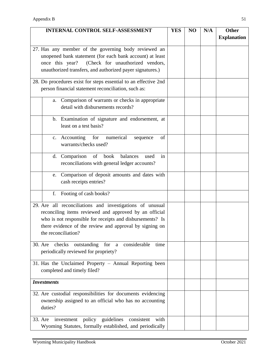| <b>INTERNAL CONTROL SELF-ASSESSMENT</b>                                                      | <b>YES</b> | NO | N/A | <b>Other</b><br><b>Explanation</b> |
|----------------------------------------------------------------------------------------------|------------|----|-----|------------------------------------|
|                                                                                              |            |    |     |                                    |
| 27. Has any member of the governing body reviewed an                                         |            |    |     |                                    |
| unopened bank statement (for each bank account) at least<br>(Check for unauthorized vendors, |            |    |     |                                    |
| once this year?<br>unauthorized transfers, and authorized payer signatures.)                 |            |    |     |                                    |
|                                                                                              |            |    |     |                                    |
| 28. Do procedures exist for steps essential to an effective 2nd                              |            |    |     |                                    |
| person financial statement reconciliation, such as:                                          |            |    |     |                                    |
| Comparison of warrants or checks in appropriate<br>а.                                        |            |    |     |                                    |
| detail with disbursements records?                                                           |            |    |     |                                    |
| b. Examination of signature and endorsement, at                                              |            |    |     |                                    |
| least on a test basis?                                                                       |            |    |     |                                    |
| numerical<br>c. Accounting for<br>of<br>sequence                                             |            |    |     |                                    |
| warrants/checks used?                                                                        |            |    |     |                                    |
| d. Comparison<br>balances<br>of<br>book<br>used<br>in                                        |            |    |     |                                    |
| reconciliations with general ledger accounts?                                                |            |    |     |                                    |
| Comparison of deposit amounts and dates with<br>e.                                           |            |    |     |                                    |
| cash receipts entries?                                                                       |            |    |     |                                    |
| Footing of cash books?<br>f.                                                                 |            |    |     |                                    |
| 29. Are all reconciliations and investigations of unusual                                    |            |    |     |                                    |
| reconciling items reviewed and approved by an official                                       |            |    |     |                                    |
| who is not responsible for receipts and disbursements? Is                                    |            |    |     |                                    |
| there evidence of the review and approval by signing on<br>the reconciliation?               |            |    |     |                                    |
|                                                                                              |            |    |     |                                    |
| checks outstanding<br>for a<br>considerable<br>30. Are<br>time                               |            |    |     |                                    |
| periodically reviewed for propriety?                                                         |            |    |     |                                    |
| 31. Has the Unclaimed Property - Annual Reporting been                                       |            |    |     |                                    |
| completed and timely filed?                                                                  |            |    |     |                                    |
| <b>Investments</b>                                                                           |            |    |     |                                    |
|                                                                                              |            |    |     |                                    |
| 32. Are custodial responsibilities for documents evidencing                                  |            |    |     |                                    |
| ownership assigned to an official who has no accounting<br>duties?                           |            |    |     |                                    |
|                                                                                              |            |    |     |                                    |
| policy guidelines<br>investment<br>consistent<br>33. Are<br>with                             |            |    |     |                                    |
| Wyoming Statutes, formally established, and periodically                                     |            |    |     |                                    |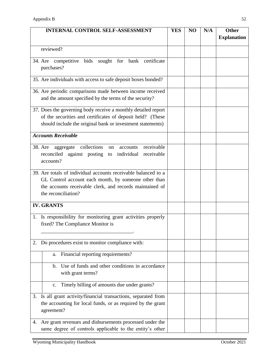| <b>INTERNAL CONTROL SELF-ASSESSMENT</b>                                                                                                                                                                   | <b>YES</b> | NO | N/A | <b>Other</b>       |
|-----------------------------------------------------------------------------------------------------------------------------------------------------------------------------------------------------------|------------|----|-----|--------------------|
|                                                                                                                                                                                                           |            |    |     | <b>Explanation</b> |
| reviewed?                                                                                                                                                                                                 |            |    |     |                    |
| 34. Are competitive bids sought for bank certificate                                                                                                                                                      |            |    |     |                    |
| purchases?                                                                                                                                                                                                |            |    |     |                    |
| 35. Are individuals with access to safe deposit boxes bonded?                                                                                                                                             |            |    |     |                    |
| 36. Are periodic comparisons made between income received<br>and the amount specified by the terms of the security?                                                                                       |            |    |     |                    |
| 37. Does the governing body receive a monthly detailed report<br>of the securities and certificates of deposit held? (These<br>should include the original bank or investment statements)                 |            |    |     |                    |
| <b>Accounts Receivable</b>                                                                                                                                                                                |            |    |     |                    |
| receivable<br>collections<br>38. Are<br>aggregate<br>accounts<br>on<br>reconciled against posting to<br>individual<br>receivable<br>accounts?                                                             |            |    |     |                    |
| 39. Are totals of individual accounts receivable balanced to a<br>GL Control account each month, by someone other than<br>the accounts receivable clerk, and records maintained of<br>the reconciliation? |            |    |     |                    |
| <b>IV. GRANTS</b>                                                                                                                                                                                         |            |    |     |                    |
| 1. Is responsibility for monitoring grant activities properly<br>fixed? The Compliance Monitor is                                                                                                         |            |    |     |                    |
| Do procedures exist to monitor compliance with:<br>2.                                                                                                                                                     |            |    |     |                    |
| Financial reporting requirements?<br>a.                                                                                                                                                                   |            |    |     |                    |
| Use of funds and other conditions in accordance<br>$\mathbf{b}$ .                                                                                                                                         |            |    |     |                    |
| with grant terms?                                                                                                                                                                                         |            |    |     |                    |
| Timely billing of amounts due under grants?<br>c.                                                                                                                                                         |            |    |     |                    |
| 3. Is all grant activity/financial transactions, separated from<br>the accounting for local funds, or as required by the grant                                                                            |            |    |     |                    |
| agreement?                                                                                                                                                                                                |            |    |     |                    |
| Are grant revenues and disbursements processed under the<br>4.<br>same degree of controls applicable to the entity's other                                                                                |            |    |     |                    |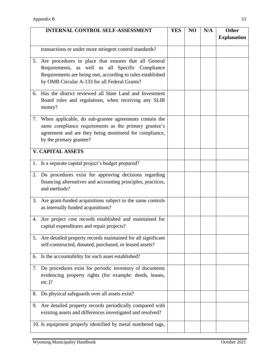|    | <b>INTERNAL CONTROL SELF-ASSESSMENT</b>                         | <b>YES</b> | NO | N/A | <b>Other</b><br><b>Explanation</b> |
|----|-----------------------------------------------------------------|------------|----|-----|------------------------------------|
|    |                                                                 |            |    |     |                                    |
|    | transactions or under more stringent control standards?         |            |    |     |                                    |
|    | 5. Are procedures in place that ensures that all General        |            |    |     |                                    |
|    | Requirements, as well as all Specific Compliance                |            |    |     |                                    |
|    | Requirements are being met, according to rules established      |            |    |     |                                    |
|    | by OMB Circular A-133 for all Federal Grants?                   |            |    |     |                                    |
|    | 6. Has the district reviewed all State Land and Investment      |            |    |     |                                    |
|    | Board rules and regulations, when receiving any SLIB            |            |    |     |                                    |
|    | money?                                                          |            |    |     |                                    |
| 7. | When applicable, do sub-grantee agreements contain the          |            |    |     |                                    |
|    | same compliance requirements as the primary grantee's           |            |    |     |                                    |
|    | agreement and are they being monitored for compliance,          |            |    |     |                                    |
|    | by the primary grantee?                                         |            |    |     |                                    |
|    | <b>V. CAPITAL ASSETS</b>                                        |            |    |     |                                    |
|    | 1. Is a separate capital project's budget prepared?             |            |    |     |                                    |
|    | 2. Do procedures exist for approving decisions regarding        |            |    |     |                                    |
|    | financing alternatives and accounting principles, practices,    |            |    |     |                                    |
|    | and methods?                                                    |            |    |     |                                    |
|    | 3. Are grant-funded acquisitions subject to the same controls   |            |    |     |                                    |
|    | as internally funded acquisitions?                              |            |    |     |                                    |
|    |                                                                 |            |    |     |                                    |
|    | 4. Are project cost records established and maintained for      |            |    |     |                                    |
|    | capital expenditures and repair projects?                       |            |    |     |                                    |
|    | 5. Are detailed property records maintained for all significant |            |    |     |                                    |
|    | self-constructed, donated, purchased, or leased assets?         |            |    |     |                                    |
|    |                                                                 |            |    |     |                                    |
|    | 6. Is the accountability for each asset established?            |            |    |     |                                    |
|    | 7. Do procedures exist for periodic inventory of documents      |            |    |     |                                    |
|    | evidencing property rights (for example: deeds, leases,         |            |    |     |                                    |
|    | $etc.$ )?                                                       |            |    |     |                                    |
| 8. | Do physical safeguards over all assets exist?                   |            |    |     |                                    |
| 9. | Are detailed property records periodically compared with        |            |    |     |                                    |
|    | existing assets and differences investigated and resolved?      |            |    |     |                                    |
|    |                                                                 |            |    |     |                                    |
|    | 10. Is equipment properly identified by metal numbered tags,    |            |    |     |                                    |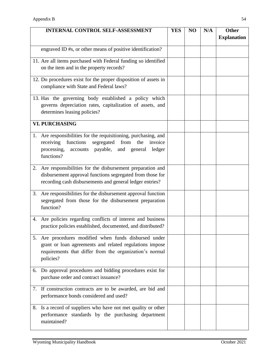| <b>INTERNAL CONTROL SELF-ASSESSMENT</b>                                                                               | <b>YES</b> | NO | N/A | <b>Other</b>       |
|-----------------------------------------------------------------------------------------------------------------------|------------|----|-----|--------------------|
|                                                                                                                       |            |    |     | <b>Explanation</b> |
| engraved ID #s, or other means of positive identification?                                                            |            |    |     |                    |
| 11. Are all items purchased with Federal funding so identified                                                        |            |    |     |                    |
| on the item and in the property records?                                                                              |            |    |     |                    |
| 12. Do procedures exist for the proper disposition of assets in<br>compliance with State and Federal laws?            |            |    |     |                    |
| 13. Has the governing body established a policy which                                                                 |            |    |     |                    |
| governs depreciation rates, capitalization of assets, and<br>determines leasing policies?                             |            |    |     |                    |
| <b>VI. PURCHASING</b>                                                                                                 |            |    |     |                    |
| 1. Are responsibilities for the requisitioning, purchasing, and                                                       |            |    |     |                    |
| receiving functions<br>segregated from the<br>invoice<br>processing, accounts payable, and general<br>ledger          |            |    |     |                    |
| functions?                                                                                                            |            |    |     |                    |
| Are responsibilities for the disbursement preparation and<br>2.                                                       |            |    |     |                    |
| disbursement approval functions segregated from those for<br>recording cash disbursements and general ledger entries? |            |    |     |                    |
| 3. Are responsibilities for the disbursement approval function                                                        |            |    |     |                    |
| segregated from those for the disbursement preparation<br>function?                                                   |            |    |     |                    |
| Are policies regarding conflicts of interest and business<br>4.                                                       |            |    |     |                    |
| practice policies established, documented, and distributed?                                                           |            |    |     |                    |
| 5. Are procedures modified when funds disbursed under                                                                 |            |    |     |                    |
| grant or loan agreements and related regulations impose<br>requirements that differ from the organization's normal    |            |    |     |                    |
| policies?                                                                                                             |            |    |     |                    |
| 6. Do approval procedures and bidding procedures exist for                                                            |            |    |     |                    |
| purchase order and contract issuance?                                                                                 |            |    |     |                    |
| 7. If construction contracts are to be awarded, are bid and<br>performance bonds considered and used?                 |            |    |     |                    |
|                                                                                                                       |            |    |     |                    |
| 8. Is a record of suppliers who have not met quality or other<br>performance standards by the purchasing department   |            |    |     |                    |
| maintained?                                                                                                           |            |    |     |                    |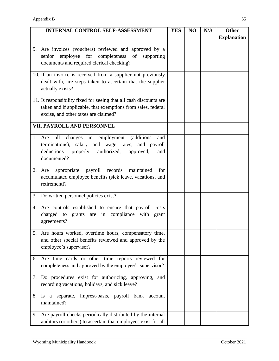| <b>INTERNAL CONTROL SELF-ASSESSMENT</b>                                                                                                                                          | <b>YES</b> | NO | N/A | <b>Other</b><br><b>Explanation</b> |
|----------------------------------------------------------------------------------------------------------------------------------------------------------------------------------|------------|----|-----|------------------------------------|
| Are invoices (vouchers) reviewed and approved by a<br>9.<br>senior employee for completeness of<br>supporting<br>documents and required clerical checking?                       |            |    |     |                                    |
| 10. If an invoice is received from a supplier not previously<br>dealt with, are steps taken to ascertain that the supplier<br>actually exists?                                   |            |    |     |                                    |
| 11. Is responsibility fixed for seeing that all cash discounts are<br>taken and if applicable, that exemptions from sales, federal<br>excise, and other taxes are claimed?       |            |    |     |                                    |
| <b>VII. PAYROLL AND PERSONNEL</b>                                                                                                                                                |            |    |     |                                    |
| 1. Are all changes in employment (additions<br>and<br>terminations), salary and wage rates, and payroll<br>deductions<br>properly authorized,<br>approved,<br>and<br>documented? |            |    |     |                                    |
| records<br>maintained<br>appropriate<br>payroll<br>2.<br>Are<br>for<br>accumulated employee benefits (sick leave, vacations, and<br>retirement)?                                 |            |    |     |                                    |
| 3. Do written personnel policies exist?                                                                                                                                          |            |    |     |                                    |
| Are controls established to ensure that payroll costs<br>4.<br>grants are in compliance with grant<br>charged to<br>agreements?                                                  |            |    |     |                                    |
| 5. Are hours worked, overtime hours, compensatory time,<br>and other special benefits reviewed and approved by the<br>employee's supervisor?                                     |            |    |     |                                    |
| Are time cards or other time reports reviewed for<br>6.<br>completeness and approved by the employee's supervisor?                                                               |            |    |     |                                    |
| 7. Do procedures exist for authorizing, approving, and<br>recording vacations, holidays, and sick leave?                                                                         |            |    |     |                                    |
| Is a separate,<br>imprest-basis, payroll bank<br>8.<br>account<br>maintained?                                                                                                    |            |    |     |                                    |
| Are payroll checks periodically distributed by the internal<br>9.<br>auditors (or others) to ascertain that employees exist for all                                              |            |    |     |                                    |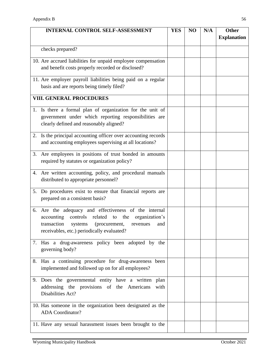| <b>INTERNAL CONTROL SELF-ASSESSMENT</b>                                                                                                                                                                                         | <b>YES</b> | NO | N/A | <b>Other</b>       |
|---------------------------------------------------------------------------------------------------------------------------------------------------------------------------------------------------------------------------------|------------|----|-----|--------------------|
|                                                                                                                                                                                                                                 |            |    |     | <b>Explanation</b> |
| checks prepared?                                                                                                                                                                                                                |            |    |     |                    |
| 10. Are accrued liabilities for unpaid employee compensation                                                                                                                                                                    |            |    |     |                    |
| and benefit costs properly recorded or disclosed?                                                                                                                                                                               |            |    |     |                    |
| 11. Are employer payroll liabilities being paid on a regular<br>basis and are reports being timely filed?                                                                                                                       |            |    |     |                    |
| <b>VIII. GENERAL PROCEDURES</b>                                                                                                                                                                                                 |            |    |     |                    |
| 1. Is there a formal plan of organization for the unit of<br>government under which reporting responsibilities are<br>clearly defined and reasonably aligned?                                                                   |            |    |     |                    |
| 2. Is the principal accounting officer over accounting records<br>and accounting employees supervising at all locations?                                                                                                        |            |    |     |                    |
| Are employees in positions of trust bonded in amounts<br>3.<br>required by statutes or organization policy?                                                                                                                     |            |    |     |                    |
| 4. Are written accounting, policy, and procedural manuals<br>distributed to appropriate personnel?                                                                                                                              |            |    |     |                    |
| 5. Do procedures exist to ensure that financial reports are<br>prepared on a consistent basis?                                                                                                                                  |            |    |     |                    |
| Are the adequacy and effectiveness of the internal<br>6.<br>accounting controls related to<br>the<br>organization's<br>transaction<br>systems<br>(procurement,<br>revenues<br>and<br>receivables, etc.) periodically evaluated? |            |    |     |                    |
| 7. Has a drug-awareness policy been adopted by the<br>governing body?                                                                                                                                                           |            |    |     |                    |
| 8. Has a continuing procedure for drug-awareness been<br>implemented and followed up on for all employees?                                                                                                                      |            |    |     |                    |
| 9. Does the governmental entity have a written plan<br>addressing the provisions of the Americans<br>with<br>Disabilities Act?                                                                                                  |            |    |     |                    |
| 10. Has someone in the organization been designated as the<br><b>ADA</b> Coordinator?                                                                                                                                           |            |    |     |                    |
| 11. Have any sexual harassment issues been brought to the                                                                                                                                                                       |            |    |     |                    |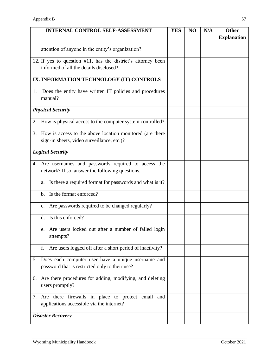| <b>INTERNAL CONTROL SELF-ASSESSMENT</b>  |                                                                                                          | <b>YES</b> | NO | N/A | <b>Other</b><br><b>Explanation</b> |
|------------------------------------------|----------------------------------------------------------------------------------------------------------|------------|----|-----|------------------------------------|
|                                          |                                                                                                          |            |    |     |                                    |
|                                          | attention of anyone in the entity's organization?                                                        |            |    |     |                                    |
|                                          | 12. If yes to question #11, has the district's attorney been                                             |            |    |     |                                    |
|                                          | informed of all the details disclosed?                                                                   |            |    |     |                                    |
| IX. INFORMATION TECHNOLOGY (IT) CONTROLS |                                                                                                          |            |    |     |                                    |
| 1.<br>manual?                            | Does the entity have written IT policies and procedures                                                  |            |    |     |                                    |
| <b>Physical Security</b>                 |                                                                                                          |            |    |     |                                    |
|                                          | How is physical access to the computer system controlled?                                                |            |    |     |                                    |
| 3.                                       | How is access to the above location monitored (are there<br>sign-in sheets, video surveillance, etc.)?   |            |    |     |                                    |
| <b>Logical Security</b>                  |                                                                                                          |            |    |     |                                    |
|                                          | 4. Are usernames and passwords required to access the<br>network? If so, answer the following questions. |            |    |     |                                    |
| a.                                       | Is there a required format for passwords and what is it?                                                 |            |    |     |                                    |
| $\mathbf{b}$ .                           | Is the format enforced?                                                                                  |            |    |     |                                    |
| $\mathbf{c}$ .                           | Are passwords required to be changed regularly?                                                          |            |    |     |                                    |
| d.                                       | Is this enforced?                                                                                        |            |    |     |                                    |
| e.                                       | Are users locked out after a number of failed login<br>attempts?                                         |            |    |     |                                    |
| f.                                       | Are users logged off after a short period of inactivity?                                                 |            |    |     |                                    |
|                                          | 5. Does each computer user have a unique username and<br>password that is restricted only to their use?  |            |    |     |                                    |
|                                          | 6. Are there procedures for adding, modifying, and deleting<br>users promptly?                           |            |    |     |                                    |
|                                          | 7. Are there firewalls in place to protect email and<br>applications accessible via the internet?        |            |    |     |                                    |
| <b>Disaster Recovery</b>                 |                                                                                                          |            |    |     |                                    |